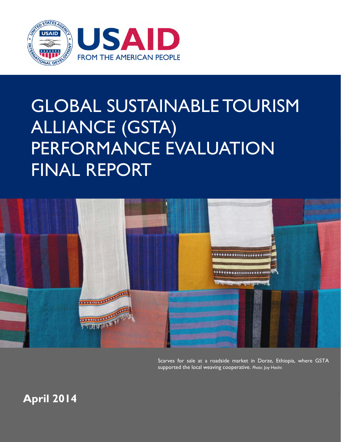

# GLOBAL SUSTAINABLE TOURISM ALLIANCE (GSTA) PERFORMANCE EVALUATION FINAL REPORT



Scarves for sale at a roadside market in Dorze, Ethiopia, where GSTA supported the local weaving cooperative. *Photo*: Joy Hecht

**April 2014**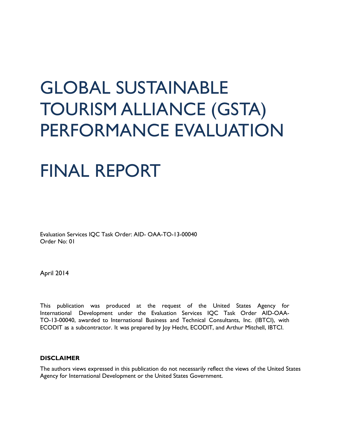# GLOBAL SUSTAINABLE TOURISM ALLIANCE (GSTA) PERFORMANCE EVALUATION

## FINAL REPORT

Evaluation Services IQC Task Order: AID- OAA-TO-13-00040 Order No: 01

April 2014

This publication was produced at the request of the United States Agency for International Development under the Evaluation Services IQC Task Order AID-OAA-TO-13-00040, awarded to International Business and Technical Consultants, Inc. (IBTCI), with ECODIT as a subcontractor. It was prepared by Joy Hecht, ECODIT, and Arthur Mitchell, IBTCI.

#### **DISCLAIMER**

The authors views expressed in this publication do not necessarily reflect the views of the United States Agency for International Development or the United States Government.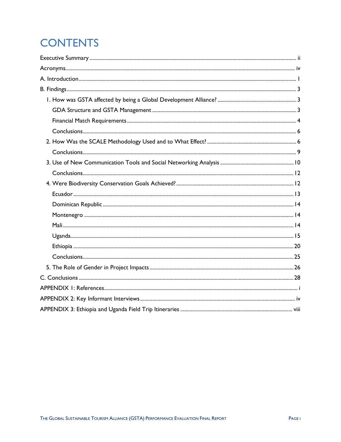## **CONTENTS**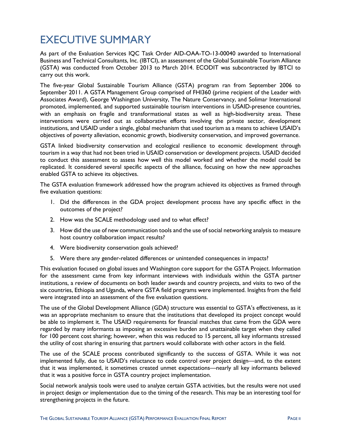### <span id="page-3-0"></span>EXECUTIVE SUMMARY

As part of the Evaluation Services IQC Task Order AID-OAA-TO-13-00040 awarded to International Business and Technical Consultants, Inc. (IBTCI), an assessment of the Global Sustainable Tourism Alliance (GSTA) was conducted from October 2013 to March 2014. ECODIT was subcontracted by IBTCI to carry out this work.

The five-year Global Sustainable Tourism Alliance (GSTA) program ran from September 2006 to September 2011. A GSTA Management Group comprised of FHI360 (prime recipient of the Leader with Associates Award), George Washington University, The Nature Conservancy, and Solimar International promoted, implemented, and supported sustainable tourism interventions in USAID-presence countries, with an emphasis on fragile and transformational states as well as high-biodiversity areas. These interventions were carried out as collaborative efforts involving the private sector, development institutions, and USAID under a single, global mechanism that used tourism as a means to achieve USAID's objectives of poverty alleviation, economic growth, biodiversity conservation, and improved governance.

GSTA linked biodiversity conservation and ecological resilience to economic development through tourism in a way that had not been tried in USAID conservation or development projects. USAID decided to conduct this assessment to assess how well this model worked and whether the model could be replicated. It considered several specific aspects of the alliance, focusing on how the new approaches enabled GSTA to achieve its objectives.

The GSTA evaluation framework addressed how the program achieved its objectives as framed through five evaluation questions:

- 1. Did the differences in the GDA project development process have any specific effect in the outcomes of the project?
- 2. How was the SCALE methodology used and to what effect?
- 3. How did the use of new communication tools and the use of social networking analysis to measure host country collaboration impact results?
- 4. Were biodiversity conservation goals achieved?
- 5. Were there any gender-related differences or unintended consequences in impacts?

This evaluation focused on global issues and Washington core support for the GSTA Project. Information for the assessment came from key informant interviews with individuals within the GSTA partner institutions, a review of documents on both leader awards and country projects, and visits to two of the six countries, Ethiopia and Uganda, where GSTA field programs were implemented. Insights from the field were integrated into an assessment of the five evaluation questions.

The use of the Global Development Alliance (GDA) structure was essential to GSTA's effectiveness, as it was an appropriate mechanism to ensure that the institutions that developed its project concept would be able to implement it. The USAID requirements for financial matches that came from the GDA were regarded by many informants as imposing an excessive burden and unattainable target when they called for 100 percent cost sharing; however, when this was reduced to 15 percent, all key informants stressed the utility of cost sharing in ensuring that partners would collaborate with other actors in the field.

The use of the SCALE process contributed significantly to the success of GSTA. While it was not implemented fully, due to USAID's reluctance to cede control over project design—and, to the extent that it was implemented, it sometimes created unmet expectations—nearly all key informants believed that it was a positive force in GSTA country project implementation.

Social network analysis tools were used to analyze certain GSTA activities, but the results were not used in project design or implementation due to the timing of the research. This may be an interesting tool for strengthening projects in the future.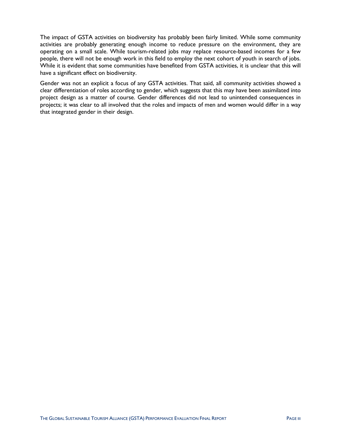The impact of GSTA activities on biodiversity has probably been fairly limited. While some community activities are probably generating enough income to reduce pressure on the environment, they are operating on a small scale. While tourism-related jobs may replace resource-based incomes for a few people, there will not be enough work in this field to employ the next cohort of youth in search of jobs. While it is evident that some communities have benefited from GSTA activities, it is unclear that this will have a significant effect on biodiversity.

Gender was not an explicit a focus of any GSTA activities. That said, all community activities showed a clear differentiation of roles according to gender, which suggests that this may have been assimilated into project design as a matter of course. Gender differences did not lead to unintended consequences in projects; it was clear to all involved that the roles and impacts of men and women would differ in a way that integrated gender in their design.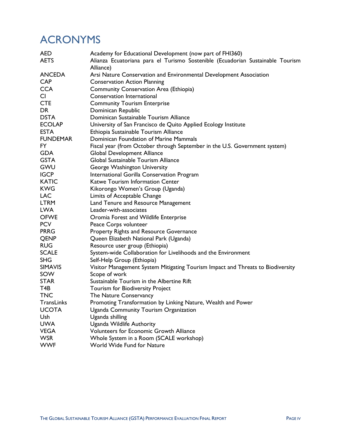### <span id="page-5-0"></span>ACRONYMS

| AED.            | Academy for Educational Development (now part of FHI360)                        |  |  |  |  |  |
|-----------------|---------------------------------------------------------------------------------|--|--|--|--|--|
| <b>AETS</b>     | Alianza Ecuatoriana para el Turismo Sostenible (Ecuadorian Sustainable Tourism  |  |  |  |  |  |
|                 | Alliance)                                                                       |  |  |  |  |  |
| <b>ANCEDA</b>   | Arsi Nature Conservation and Environmental Development Association              |  |  |  |  |  |
| <b>CAP</b>      | <b>Conservation Action Planning</b>                                             |  |  |  |  |  |
| <b>CCA</b>      | Community Conservation Area (Ethiopia)                                          |  |  |  |  |  |
| CI              | Conservation International                                                      |  |  |  |  |  |
| <b>CTE</b>      | <b>Community Tourism Enterprise</b>                                             |  |  |  |  |  |
| DR              | Dominican Republic                                                              |  |  |  |  |  |
| <b>DSTA</b>     | Dominican Sustainable Tourism Alliance                                          |  |  |  |  |  |
| <b>ECOLAP</b>   | University of San Francisco de Quito Applied Ecology Institute                  |  |  |  |  |  |
| <b>ESTA</b>     | Ethiopia Sustainable Tourism Alliance                                           |  |  |  |  |  |
| <b>FUNDEMAR</b> | Dominican Foundation of Marine Mammals                                          |  |  |  |  |  |
| <b>FY</b>       | Fiscal year (from October through September in the U.S. Government system)      |  |  |  |  |  |
| <b>GDA</b>      | Global Development Alliance                                                     |  |  |  |  |  |
| <b>GSTA</b>     | Global Sustainable Tourism Alliance                                             |  |  |  |  |  |
| <b>GWU</b>      | George Washington University                                                    |  |  |  |  |  |
| <b>IGCP</b>     | International Gorilla Conservation Program                                      |  |  |  |  |  |
| <b>KATIC</b>    | Katwe Tourism Information Center                                                |  |  |  |  |  |
| <b>KWG</b>      | Kikorongo Women's Group (Uganda)                                                |  |  |  |  |  |
| <b>LAC</b>      | Limits of Acceptable Change                                                     |  |  |  |  |  |
| <b>LTRM</b>     | Land Tenure and Resource Management                                             |  |  |  |  |  |
| <b>LWA</b>      | Leader-with-associates                                                          |  |  |  |  |  |
| <b>OFWE</b>     | Oromia Forest and Wildlife Enterprise                                           |  |  |  |  |  |
| <b>PCV</b>      | Peace Corps volunteer                                                           |  |  |  |  |  |
| <b>PRRG</b>     | Property Rights and Resource Governance                                         |  |  |  |  |  |
| QENP            | Queen Elizabeth National Park (Uganda)                                          |  |  |  |  |  |
| <b>RUG</b>      | Resource user group (Ethiopia)                                                  |  |  |  |  |  |
| <b>SCALE</b>    | System-wide Collaboration for Livelihoods and the Environment                   |  |  |  |  |  |
| <b>SHG</b>      | Self-Help Group (Ethiopia)                                                      |  |  |  |  |  |
| <b>SIMAVIS</b>  | Visitor Management System Mitigating Tourism Impact and Threats to Biodiversity |  |  |  |  |  |
| SOW             | Scope of work                                                                   |  |  |  |  |  |
| <b>STAR</b>     | Sustainable Tourism in the Albertine Rift                                       |  |  |  |  |  |
| T4B             | Tourism for Biodiversity Project                                                |  |  |  |  |  |
| <b>TNC</b>      | The Nature Conservancy                                                          |  |  |  |  |  |
| TransLinks      | Promoting Transformation by Linking Nature, Wealth and Power                    |  |  |  |  |  |
| <b>UCOTA</b>    | Uganda Community Tourism Organization                                           |  |  |  |  |  |
| Ush             | Uganda shilling                                                                 |  |  |  |  |  |
| <b>UWA</b>      | Uganda Wildlife Authority                                                       |  |  |  |  |  |
| <b>VEGA</b>     | Volunteers for Economic Growth Alliance                                         |  |  |  |  |  |
| <b>WSR</b>      | Whole System in a Room (SCALE workshop)                                         |  |  |  |  |  |
| <b>WWF</b>      | World Wide Fund for Nature                                                      |  |  |  |  |  |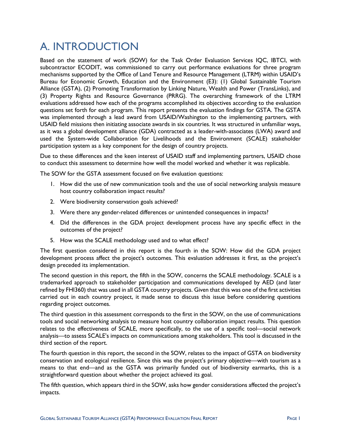### <span id="page-6-0"></span>A. INTRODUCTION

Based on the statement of work (SOW) for the Task Order Evaluation Services IQC, IBTCI, with subcontractor ECODIT, was commissioned to carry out performance evaluations for three program mechanisms supported by the Office of Land Tenure and Resource Management (LTRM) within USAID's Bureau for Economic Growth, Education and the Environment (E3): (1) Global Sustainable Tourism Alliance (GSTA), (2) Promoting Transformation by Linking Nature, Wealth and Power (TransLinks), and (3) Property Rights and Resource Governance (PRRG). The overarching framework of the LTRM evaluations addressed how each of the programs accomplished its objectives according to the evaluation questions set forth for each program. This report presents the evaluation findings for GSTA. The GSTA was implemented through a lead award from USAID/Washington to the implementing partners, with USAID field missions then initiating associate awards in six countries. It was structured in unfamiliar ways, as it was a global development alliance (GDA) contracted as a leader-with-associates (LWA) award and used the System-wide Collaboration for Livelihoods and the Environment (SCALE) stakeholder participation system as a key component for the design of country projects.

Due to these differences and the keen interest of USAID staff and implementing partners, USAID chose to conduct this assessment to determine how well the model worked and whether it was replicable.

The SOW for the GSTA assessment focused on five evaluation questions:

- 1. How did the use of new communication tools and the use of social networking analysis measure host country collaboration impact results?
- 2. Were biodiversity conservation goals achieved?
- 3. Were there any gender-related differences or unintended consequences in impacts?
- 4. Did the differences in the GDA project development process have any specific effect in the outcomes of the project?
- 5. How was the SCALE methodology used and to what effect?

The first question considered in this report is the fourth in the SOW: How did the GDA project development process affect the project's outcomes. This evaluation addresses it first, as the project's design preceded its implementation.

The second question in this report, the fifth in the SOW, concerns the SCALE methodology. SCALE is a trademarked approach to stakeholder participation and communications developed by AED (and later refined by FHI360) that was used in all GSTA country projects. Given that this was one of the first activities carried out in each country project, it made sense to discuss this issue before considering questions regarding project outcomes.

The third question in this assessment corresponds to the first in the SOW, on the use of communications tools and social networking analysis to measure host country collaboration impact results. This question relates to the effectiveness of SCALE, more specifically, to the use of a specific tool—social network analysis—to assess SCALE's impacts on communications among stakeholders. This tool is discussed in the third section of the report.

The fourth question in this report, the second in the SOW, relates to the impact of GSTA on biodiversity conservation and ecological resilience. Since this was the project's primary objective—with tourism as a means to that end—and as the GSTA was primarily funded out of biodiversity earmarks, this is a straightforward question about whether the project achieved its goal.

The fifth question, which appears third in the SOW, asks how gender considerations affected the project's impacts.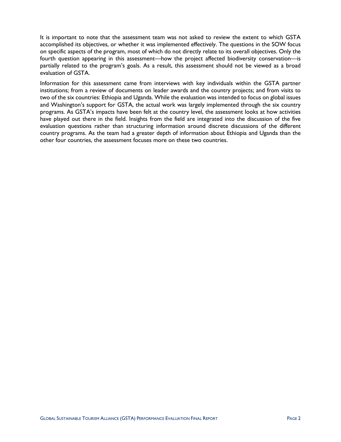It is important to note that the assessment team was not asked to review the extent to which GSTA accomplished its objectives, or whether it was implemented effectively. The questions in the SOW focus on specific aspects of the program, most of which do not directly relate to its overall objectives. Only the fourth question appearing in this assessment—how the project affected biodiversity conservation—is partially related to the program's goals. As a result, this assessment should not be viewed as a broad evaluation of GSTA.

Information for this assessment came from interviews with key individuals within the GSTA partner institutions; from a review of documents on leader awards and the country projects; and from visits to two of the six countries: Ethiopia and Uganda. While the evaluation was intended to focus on global issues and Washington's support for GSTA, the actual work was largely implemented through the six country programs. As GSTA's impacts have been felt at the country level, the assessment looks at how activities have played out there in the field. Insights from the field are integrated into the discussion of the five evaluation questions rather than structuring information around discrete discussions of the different country programs. As the team had a greater depth of information about Ethiopia and Uganda than the other four countries, the assessment focuses more on these two countries.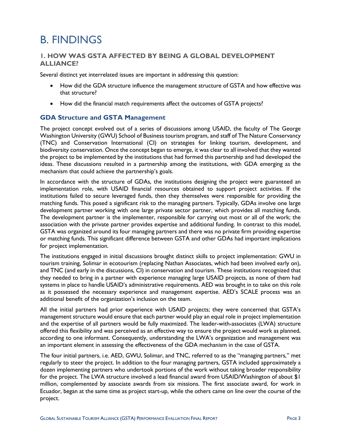### <span id="page-8-0"></span>B. FINDINGS

### <span id="page-8-1"></span>**1. HOW WAS GSTA AFFECTED BY BEING A GLOBAL DEVELOPMENT ALLIANCE?**

Several distinct yet interrelated issues are important in addressing this question:

- How did the GDA structure influence the management structure of GSTA and how effective was that structure?
- How did the financial match requirements affect the outcomes of GSTA projects?

### <span id="page-8-2"></span>**GDA Structure and GSTA Management**

The project concept evolved out of a series of discussions among USAID, the faculty of The George Washington University (GWU) School of Business tourism program, and staff of The Nature Conservancy (TNC) and Conservation International (CI) on strategies for linking tourism, development, and biodiversity conservation. Once the concept began to emerge, it was clear to all involved that they wanted the project to be implemented by the institutions that had formed this partnership and had developed the ideas. These discussions resulted in a partnership among the institutions, with GDA emerging as the mechanism that could achieve the partnership's goals.

In accordance with the structure of GDAs, the institutions designing the project were guaranteed an implementation role, with USAID financial resources obtained to support project activities. If the institutions failed to secure leveraged funds, then they themselves were responsible for providing the matching funds. This posed a significant risk to the managing partners. Typically, GDAs involve one large development partner working with one large private sector partner, which provides all matching funds. The development partner is the implementer, responsible for carrying out most or all of the work; the association with the private partner provides expertise and additional funding. In contrast to this model, GSTA was organized around its four managing partners and there was no private firm providing expertise or matching funds. This significant difference between GSTA and other GDAs had important implications for project implementation.

The institutions engaged in initial discussions brought distinct skills to project implementation: GWU in tourism training, Solimar in ecotourism (replacing Nathan Associates, which had been involved early on), and TNC (and early in the discussions, CI) in conservation and tourism. These institutions recognized that they needed to bring in a partner with experience managing large USAID projects, as none of them had systems in place to handle USAID's administrative requirements. AED was brought in to take on this role as it possessed the necessary experience and management expertise. AED's SCALE process was an additional benefit of the organization's inclusion on the team.

All the initial partners had prior experience with USAID projects; they were concerned that GSTA's management structure would ensure that each partner would play an equal role in project implementation and the expertise of all partners would be fully maximized. The leader-with-associates (LWA) structure offered this flexibility and was perceived as an effective way to ensure the project would work as planned, according to one informant. Consequently, understanding the LWA's organization and management was an important element in assessing the effectiveness of the GDA mechanism in the case of GSTA.

The four initial partners, i.e. AED, GWU, Solimar, and TNC, referred to as the "managing partners," met regularly to steer the project. In addition to the four managing partners, GSTA included approximately a dozen implementing partners who undertook portions of the work without taking broader responsibility for the project. The LWA structure involved a lead financial award from USAID/Washington of about \$1 million, complemented by associate awards from six missions. The first associate award, for work in Ecuador, began at the same time as project start-up, while the others came on line over the course of the project.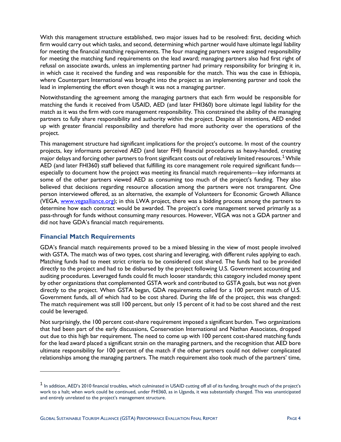With this management structure established, two major issues had to be resolved: first, deciding which firm would carry out which tasks, and second, determining which partner would have ultimate legal liability for meeting the financial matching requirements. The four managing partners were assigned responsibility for meeting the matching fund requirements on the lead award; managing partners also had first right of refusal on associate awards, unless an implementing partner had primary responsibility for bringing it in, in which case it received the funding and was responsible for the match. This was the case in Ethiopia, where Counterpart International was brought into the project as an implementing partner and took the lead in implementing the effort even though it was not a managing partner.

Notwithstanding the agreement among the managing partners that each firm would be responsible for matching the funds it received from USAID, AED (and later FHI360) bore ultimate legal liability for the match as it was the firm with core management responsibility. This constrained the ability of the managing partners to fully share responsibility and authority within the project. Despite all intentions, AED ended up with greater financial responsibility and therefore had more authority over the operations of the project.

This management structure had significant implications for the project's outcome. In most of the country projects, key informants perceived AED (and later FHI) financial procedures as heavy-handed, creating major delays and forcing other partners to front significant costs out of relatively limited resources.<sup>[1](#page-9-1)</sup> While AED (and later FHI360) staff believed that fulfilling its core management role required significant funds especially to document how the project was meeting its financial match requirements—key informants at some of the other partners viewed AED as consuming too much of the project's funding. They also believed that decisions regarding resource allocation among the partners were not transparent. One person interviewed offered, as an alternative, the example of Volunteers for Economic Growth Alliance (VEGA, [www.vegaalliance.org\)](http://www.vegaalliance.org/); in this LWA project, there was a bidding process among the partners to determine how each contract would be awarded. The project's core management served primarily as a pass-through for funds without consuming many resources. However, VEGA was not a GDA partner and did not have GDA's financial match requirements.

### <span id="page-9-0"></span>**Financial Match Requirements**

 $\overline{a}$ 

GDA's financial match requirements proved to be a mixed blessing in the view of most people involved with GSTA. The match was of two types, cost sharing and leveraging, with different rules applying to each. Matching funds had to meet strict criteria to be considered cost shared. The funds had to be provided directly to the project and had to be disbursed by the project following U.S. Government accounting and auditing procedures. Leveraged funds could fit much looser standards; this category included money spent by other organizations that complemented GSTA work and contributed to GSTA goals, but was not given directly to the project. When GSTA began, GDA requirements called for a 100 percent match of U.S. Government funds, all of which had to be cost shared. During the life of the project, this was changed: The match requirement was still 100 percent, but only 15 percent of it had to be cost shared and the rest could be leveraged.

Not surprisingly, the 100 percent cost-share requirement imposed a significant burden. Two organizations that had been part of the early discussions, Conservation International and Nathan Associates, dropped out due to this high bar requirement. The need to come up with 100 percent cost-shared matching funds for the lead award placed a significant strain on the managing partners, and the recognition that AED bore ultimate responsibility for 100 percent of the match if the other partners could not deliver complicated relationships among the managing partners. The match requirement also took much of the partners' time,

<span id="page-9-1"></span> $<sup>1</sup>$  In addition, AED's 2010 financial troubles, which culminated in USAID cutting off all of its funding, brought much of the project's</sup> work to a halt; when work could be continued, under FHI360, as in Uganda, it was substantially changed. This was unanticipated and entirely unrelated to the project's management structure.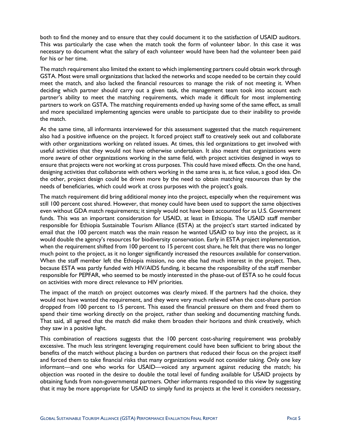both to find the money and to ensure that they could document it to the satisfaction of USAID auditors. This was particularly the case when the match took the form of volunteer labor. In this case it was necessary to document what the salary of each volunteer would have been had the volunteer been paid for his or her time.

The match requirement also limited the extent to which implementing partners could obtain work through GSTA. Most were small organizations that lacked the networks and scope needed to be certain they could meet the match, and also lacked the financial resources to manage the risk of not meeting it. When deciding which partner should carry out a given task, the management team took into account each partner's ability to meet the matching requirements, which made it difficult for most implementing partners to work on GSTA. The matching requirements ended up having some of the same effect, as small and more specialized implementing agencies were unable to participate due to their inability to provide the match.

At the same time, all informants interviewed for this assessment suggested that the match requirement also had a positive influence on the project. It forced project staff to creatively seek out and collaborate with other organizations working on related issues. At times, this led organizations to get involved with useful activities that they would not have otherwise undertaken. It also meant that organizations were more aware of other organizations working in the same field, with project activities designed in ways to ensure that projects were not working at cross purposes. This could have mixed effects. On the one hand, designing activities that collaborate with others working in the same area is, at face value, a good idea. On the other, project design could be driven more by the need to obtain matching resources than by the needs of beneficiaries, which could work at cross purposes with the project's goals.

The match requirement did bring additional money into the project, especially when the requirement was still 100 percent cost shared. However, that money could have been used to support the same objectives even without GDA match requirements; it simply would not have been accounted for as U.S. Government funds. This was an important consideration for USAID, at least in Ethiopia. The USAID staff member responsible for Ethiopia Sustainable Tourism Alliance (ESTA) at the project's start started indicated by email that the 100 percent match was the main reason he wanted USAID to buy into the project, as it would double the agency's resources for biodiversity conservation. Early in ESTA project implementation, when the requirement shifted from 100 percent to 15 percent cost share, he felt that there was no longer much point to the project, as it no longer significantly increased the resources available for conservation. When the staff member left the Ethiopia mission, no one else had much interest in the project. Then, because ESTA was partly funded with HIV/AIDS funding, it became the responsibility of the staff member responsible for PEPFAR, who seemed to be mostly interested in the phase-out of ESTA so he could focus on activities with more direct relevance to HIV priorities.

The impact of the match on project outcomes was clearly mixed. If the partners had the choice, they would not have wanted the requirement, and they were very much relieved when the cost-share portion dropped from 100 percent to 15 percent. This eased the financial pressure on them and freed them to spend their time working directly on the project, rather than seeking and documenting matching funds. That said, all agreed that the match did make them broaden their horizons and think creatively, which they saw in a positive light.

This combination of reactions suggests that the 100 percent cost-sharing requirement was probably excessive. The much less stringent leveraging requirement could have been sufficient to bring about the benefits of the match without placing a burden on partners that reduced their focus on the project itself and forced them to take financial risks that many organizations would not consider taking. Only one key informant—and one who works for USAID—voiced any argument against reducing the match; his objection was rooted in the desire to double the total level of funding available for USAID projects by obtaining funds from non-governmental partners. Other informants responded to this view by suggesting that it may be more appropriate for USAID to simply fund its projects at the level it considers necessary,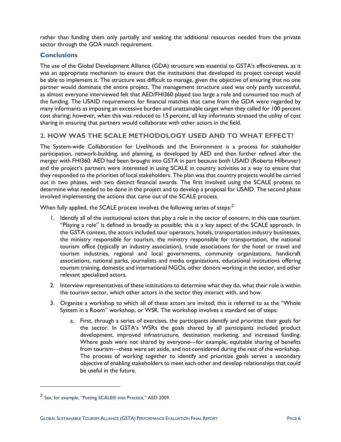rather than funding them only partially and seeking the additional resources needed from the private sector through the GDA match requirement.

### <span id="page-11-0"></span>**Conclusions**

<span id="page-11-1"></span>The use of the Global Development Alliance (GDA) structure was essential to GSTA's effectiveness, as it was an appropriate mechanism to ensure that the institutions that developed its project concept would be able to implement it. The structure was difficult to manage, given the objective of ensuring that no one partner would dominate the entire project. The management structure used was only partly successful, as almost everyone interviewed felt that AED/FHI360 played too large a role and consumed too much of the funding. The USAID requirements for financial matches that came from the GDA were regarded by many informants as imposing an excessive burden and unattainable target when they called for 100 percent cost sharing; however, when this was reduced to 15 percent, all key informants stressed the utility of cost sharing in ensuring that partners would collaborate with other actors in the field.

### **2. HOW WAS THE SCALE METHODOLOGY USED AND TO WHAT EFFECT?**

The System-wide Collaboration for Livelihoods and the Environment is a process for stakeholder participation, network-building, and planning, as developed by AED and then further refined after the merger with FHI360. AED had been brought into GSTA in part because both USAID (Roberta Hilbruner) and the project's partners were interested in using SCALE in country activities as a way to ensure that they responded to the priorities of local stakeholders. The plan was that country projects would be carried out in two phases, with two distinct financial awards. The first involved using the SCALE process to determine what needed to be done in the project and to develop a proposal for USAID. The second phase involved implementing the actions that came out of the SCALE process.

When fully applied, the SCALE process involves the following series of steps:<sup>[2](#page-11-2)</sup>

- 1. Identify all of the institutional actors that play a role in the sector of concern, in this case tourism. "Playing a role" is defined as broadly as possible; this is a key aspect of the SCALE approach. In the GSTA context, the actors included tour operators, hotels, transportation industry businesses, the ministry responsible for tourism, the ministry responsible for transportation, the national tourism office (typically an industry association), trade associations for the hotel or travel and tourism industries, regional and local governments, community organizations, handicraft associations, national parks, journalists and media organizations, educational institutions offering tourism training, domestic and international NGOs, other donors working in the sector, and other relevant specialized actors.
- 2. Interview representatives of these institutions to determine what they do, what their role is within the tourism sector, which other actors in the sector they interact with, and how.
- 3. Organize a workshop to which all of these actors are invited; this is referred to as the "Whole System in a Room" workshop, or WSR. The workshop involves a standard set of steps:
	- a. First, through a series of exercises, the participants identify and prioritize their goals for the sector. In GSTA's WSRs the goals shared by all participants included product development, improved infrastructure, destination marketing, and increased funding. Where goals were not shared by everyone—for example, equitable sharing of benefits from tourism—these were set aside, and not considered during the rest of the workshop. The process of working together to identify and prioritize goals serves a secondary objective of enabling stakeholders to meet each other and develop relationships that could be useful in the future.

 $\overline{a}$ 

<span id="page-11-2"></span><sup>2</sup> See, for example, "Putting SCALE® into Practice," AED 2009.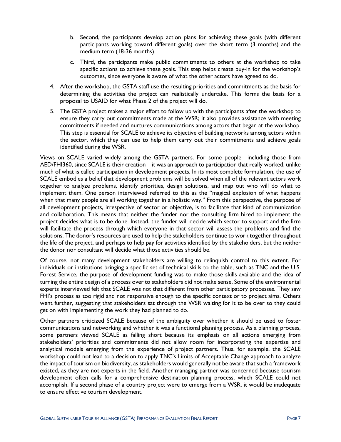- b. Second, the participants develop action plans for achieving these goals (with different participants working toward different goals) over the short term (3 months) and the medium term (18-36 months).
- c. Third, the participants make public commitments to others at the workshop to take specific actions to achieve these goals. This step helps create buy-in for the workshop's outcomes, since everyone is aware of what the other actors have agreed to do.
- 4. After the workshop, the GSTA staff use the resulting priorities and commitments as the basis for determining the activities the project can realistically undertake. This forms the basis for a proposal to USAID for what Phase 2 of the project will do.
- 5. The GSTA project makes a major effort to follow up with the participants after the workshop to ensure they carry out commitments made at the WSR; it also provides assistance with meeting commitments if needed and nurtures communications among actors that began at the workshop. This step is essential for SCALE to achieve its objective of building networks among actors within the sector, which they can use to help them carry out their commitments and achieve goals identified during the WSR.

Views on SCALE varied widely among the GSTA partners. For some people—including those from AED/FHI360, since SCALE is their creation—it was an approach to participation that really worked, unlike much of what is called participation in development projects. In its most complete formulation, the use of SCALE embodies a belief that development problems will be solved when all of the relevant actors work together to analyze problems, identify priorities, design solutions, and map out who will do what to implement them. One person interviewed referred to this as the "magical explosion of what happens when that many people are all working together in a holistic way." From this perspective, the purpose of all development projects, irrespective of sector or objective, is to facilitate that kind of communication and collaboration. This means that neither the funder nor the consulting firm hired to implement the project decides what is to be done. Instead, the funder will decide which sector to support and the firm will facilitate the process through which everyone in that sector will assess the problems and find the solutions. The donor's resources are used to help the stakeholders continue to work together throughout the life of the project, and perhaps to help pay for activities identified by the stakeholders, but the neither the donor nor consultant will decide what those activities should be.

Of course, not many development stakeholders are willing to relinquish control to this extent. For individuals or institutions bringing a specific set of technical skills to the table, such as TNC and the U.S. Forest Service, the purpose of development funding was to make those skills available and the idea of turning the entire design of a process over to stakeholders did not make sense. Some of the environmental experts interviewed felt that SCALE was not that different from other participatory processes. They saw FHI's process as too rigid and not responsive enough to the specific context or to project aims. Others went further, suggesting that stakeholders sat through the WSR waiting for it to be over so they could get on with implementing the work they had planned to do.

Other partners criticized SCALE because of the ambiguity over whether it should be used to foster communications and networking and whether it was a functional planning process. As a planning process, some partners viewed SCALE as falling short because its emphasis on all actions emerging from stakeholders' priorities and commitments did not allow room for incorporating the expertise and analytical models emerging from the experience of project partners. Thus, for example, the SCALE workshop could not lead to a decision to apply TNC's Limits of Acceptable Change approach to analyze the impact of tourism on biodiversity, as stakeholders would generally not be aware that such a framework existed, as they are not experts in the field. Another managing partner was concerned because tourism development often calls for a comprehensive destination planning process, which SCALE could not accomplish. If a second phase of a country project were to emerge from a WSR, it would be inadequate to ensure effective tourism development.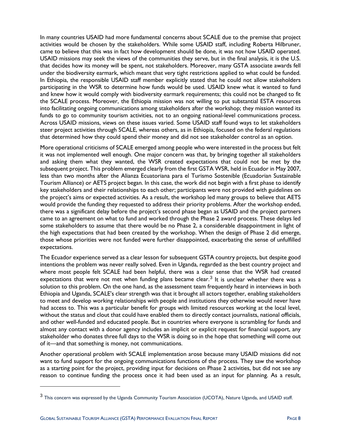In many countries USAID had more fundamental concerns about SCALE due to the premise that project activities would be chosen by the stakeholders. While some USAID staff, including Roberta Hilbruner, came to believe that this was in fact how development should be done, it was not how USAID operated. USAID missions may seek the views of the communities they serve, but in the final analysis, it is the U.S. that decides how its money will be spent, not stakeholders. Moreover, many GSTA associate awards fell under the biodiversity earmark, which meant that very tight restrictions applied to what could be funded. In Ethiopia, the responsible USAID staff member explicitly stated that he could not allow stakeholders participating in the WSR to determine how funds would be used. USAID knew what it wanted to fund and knew how it would comply with biodiversity earmark requirements; this could not be changed to fit the SCALE process. Moreover, the Ethiopia mission was not willing to put substantial ESTA resources into facilitating ongoing communications among stakeholders after the workshop; they mission wanted its funds to go to community tourism activities, not to an ongoing national-level communications process. Across USAID missions, views on these issues varied. Some USAID staff found ways to let stakeholders steer project activities through SCALE, whereas others, as in Ethiopia, focused on the federal regulations that determined how they could spend their money and did not see stakeholder control as an option.

More operational criticisms of SCALE emerged among people who were interested in the process but felt it was not implemented well enough. One major concern was that, by bringing together all stakeholders and asking them what they wanted, the WSR created expectations that could not be met by the subsequent project. This problem emerged clearly from the first GSTA WSR, held in Ecuador in May 2007, less than two months after the Alianza Ecuatoriana para el Turismo Sostenible (Ecuadorian Sustainable Tourism Alliance) or AETS project began. In this case, the work did not begin with a first phase to identify key stakeholders and their relationships to each other; participants were not provided with guidelines on the project's aims or expected activities. As a result, the workshop led many groups to believe that AETS would provide the funding they requested to address their priority problems. After the workshop ended, there was a significant delay before the project's second phase began as USAID and the project partners came to an agreement on what to fund and worked through the Phase 2 award process. These delays led some stakeholders to assume that there would be no Phase 2, a considerable disappointment in light of the high expectations that had been created by the workshop. When the design of Phase 2 did emerge, those whose priorities were not funded were further disappointed, exacerbating the sense of unfulfilled expectations.

The Ecuador experience served as a clear lesson for subsequent GSTA country projects, but despite good intentions the problem was never really solved. Even in Uganda, regarded as the best country project and where most people felt SCALE had been helpful, there was a clear sense that the WSR had created expectations that were not met when funding plans became clear.<sup>[3](#page-13-0)</sup> It is unclear whether there was a solution to this problem. On the one hand, as the assessment team frequently heard in interviews in both Ethiopia and Uganda, SCALE's clear strength was that it brought all actors together, enabling stakeholders to meet and develop working relationships with people and institutions they otherwise would never have had access to. This was a particular benefit for groups with limited resources working at the local level, without the status and clout that could have enabled them to directly contact journalists, national officials, and other well-funded and educated people. But in countries where everyone is scrambling for funds and almost any contact with a donor agency includes an implicit or explicit request for financial support, any stakeholder who donates three full days to the WSR is doing so in the hope that something will come out of it—and that something is money, not communications.

Another operational problem with SCALE implementation arose because many USAID missions did not want to fund support for the ongoing communications functions of the process. They saw the workshop as a starting point for the project, providing input for decisions on Phase 2 activities, but did not see any reason to continue funding the process once it had been used as an input for planning. As a result,

 $\overline{a}$ 

<span id="page-13-0"></span><sup>&</sup>lt;sup>3</sup> This concern was expressed by the Uganda Community Tourism Association (UCOTA), Nature Uganda, and USAID staff.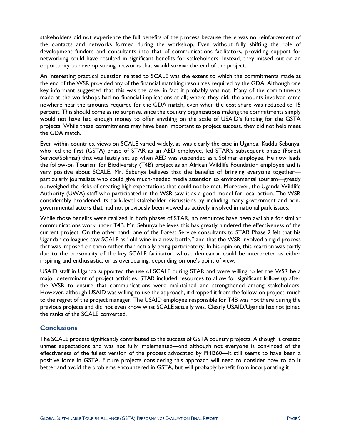stakeholders did not experience the full benefits of the process because there was no reinforcement of the contacts and networks formed during the workshop. Even without fully shifting the role of development funders and consultants into that of communications facilitators, providing support for networking could have resulted in significant benefits for stakeholders. Instead, they missed out on an opportunity to develop strong networks that would survive the end of the project.

An interesting practical question related to SCALE was the extent to which the commitments made at the end of the WSR provided any of the financial matching resources required by the GDA. Although one key informant suggested that this was the case, in fact it probably was not. Many of the commitments made at the workshops had no financial implications at all; where they did, the amounts involved came nowhere near the amounts required for the GDA match, even when the cost share was reduced to 15 percent. This should come as no surprise, since the country organizations making the commitments simply would not have had enough money to offer anything on the scale of USAID's funding for the GSTA projects. While these commitments may have been important to project success, they did not help meet the GDA match.

Even within countries, views on SCALE varied widely, as was clearly the case in Uganda. Kaddu Sebunya, who led the first (GSTA) phase of STAR as an AED employee, led STAR's subsequent phase (Forest Service/Solimar) that was hastily set up when AED was suspended as a Solimar employee. He now leads the follow-on Tourism for Biodiversity (T4B) project as an African Wildlife Foundation employee and is very positive about SCALE. Mr. Sebunya believes that the benefits of bringing everyone together particularly journalists who could give much-needed media attention to environmental tourism—greatly outweighed the risks of creating high expectations that could not be met. Moreover, the Uganda Wildlife Authority (UWA) staff who participated in the WSR saw it as a good model for local action. The WSR considerably broadened its park-level stakeholder discussions by including many government and nongovernmental actors that had not previously been viewed as actively involved in national park issues.

While those benefits were realized in both phases of STAR, no resources have been available for similar communications work under T4B. Mr. Sebunya believes this has greatly hindered the effectiveness of the current project. On the other hand, one of the Forest Service consultants to STAR Phase 2 felt that his Ugandan colleagues saw SCALE as "old wine in a new bottle," and that the WSR involved a rigid process that was imposed on them rather than actually being participatory. In his opinion, this reaction was partly due to the personality of the key SCALE facilitator, whose demeanor could be interpreted as either inspiring and enthusiastic, or as overbearing, depending on one's point of view.

USAID staff in Uganda supported the use of SCALE during STAR and were willing to let the WSR be a major determinant of project activities. STAR included resources to allow for significant follow up after the WSR to ensure that communications were maintained and strengthened among stakeholders. However, although USAID was willing to use the approach, it dropped it from the follow-on project, much to the regret of the project manager. The USAID employee responsible for T4B was not there during the previous projects and did not even know what SCALE actually was. Clearly USAID/Uganda has not joined the ranks of the SCALE converted.

### <span id="page-14-0"></span>**Conclusions**

The SCALE process significantly contributed to the success of GSTA country projects. Although it created unmet expectations and was not fully implemented—and although not everyone is convinced of the effectiveness of the fullest version of the process advocated by FHI360—it still seems to have been a positive force in GSTA. Future projects considering this approach will need to consider how to do it better and avoid the problems encountered in GSTA, but will probably benefit from incorporating it.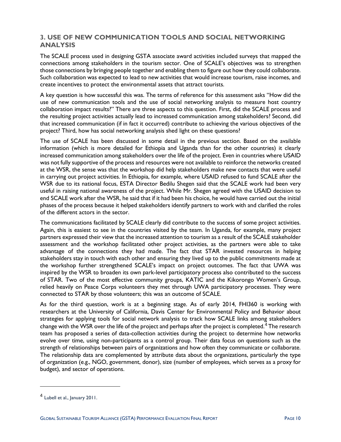### <span id="page-15-0"></span>**3. USE OF NEW COMMUNICATION TOOLS AND SOCIAL NETWORKING ANALYSIS**

The SCALE process used in designing GSTA associate award activities included surveys that mapped the connections among stakeholders in the tourism sector. One of SCALE's objectives was to strengthen those connections by bringing people together and enabling them to figure out how they could collaborate. Such collaboration was expected to lead to new activities that would increase tourism, raise incomes, and create incentives to protect the environmental assets that attract tourists.

A key question is how successful this was. The terms of reference for this assessment asks "How did the use of new communication tools and the use of social networking analysis to measure host country collaboration impact results?" There are three aspects to this question. First, did the SCALE process and the resulting project activities actually lead to increased communication among stakeholders? Second, did that increased communication (if in fact it occurred) contribute to achieving the various objectives of the project? Third, how has social networking analysis shed light on these questions?

The use of SCALE has been discussed in some detail in the previous section. Based on the available information (which is more detailed for Ethiopia and Uganda than for the other countries) it clearly increased communication among stakeholders over the life of the project. Even in countries where USAID was not fully supportive of the process and resources were not available to reinforce the networks created at the WSR, the sense was that the workshop did help stakeholders make new contacts that were useful in carrying out project activities. In Ethiopia, for example, where USAID refused to fund SCALE after the WSR due to its national focus, ESTA Director Bedilu Shegen said that the SCALE work had been very useful in raising national awareness of the project. While Mr. Shegen agreed with the USAID decision to end SCALE work after the WSR, he said that if it had been his choice, he would have carried out the initial phases of the process because it helped stakeholders identify partners to work with and clarified the roles of the different actors in the sector.

The communications facilitated by SCALE clearly did contribute to the success of some project activities. Again, this is easiest to see in the countries visited by the team. In Uganda, for example, many project partners expressed their view that the increased attention to tourism as a result of the SCALE stakeholder assessment and the workshop facilitated other project activities, as the partners were able to take advantage of the connections they had made. The fact that STAR invested resources in helping stakeholders stay in touch with each other and ensuring they lived up to the public commitments made at the workshop further strengthened SCALE's impact on project outcomes. The fact that UWA was inspired by the WSR to broaden its own park-level participatory process also contributed to the success of STAR. Two of the most effective community groups, KATIC and the Kikorongo Women's Group, relied heavily on Peace Corps volunteers they met through UWA participatory processes. They were connected to STAR by those volunteers; this was an outcome of SCALE.

As for the third question, work is at a beginning stage. As of early 2014, FHI360 is working with researchers at the University of California, Davis Center for Environmental Policy and Behavior about strategies for applying tools for social network analysis to track how SCALE links among stakeholders change with the WSR over the life of the project and perhaps after the project is completed.<sup>[4](#page-15-1)</sup> The research team has proposed a series of data-collection activities during the project to determine how networks evolve over time, using non-participants as a control group. Their data focus on questions such as the strength of relationships between pairs of organizations and how often they communicate or collaborate. The relationship data are complemented by attribute data about the organizations, particularly the type of organization (e.g., NGO, government, donor), size (number of employees, which serves as a proxy for budget), and sector of operations.

 $\overline{a}$ 

<span id="page-15-1"></span><sup>4</sup> Lubell et al., January 2011.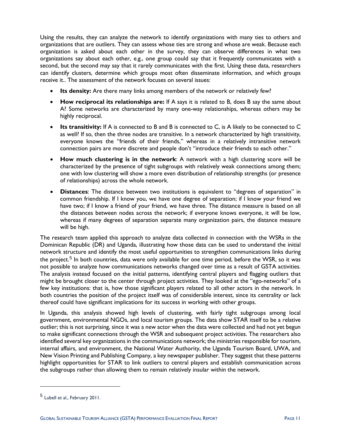Using the results, they can analyze the network to identify organizations with many ties to others and organizations that are outliers. They can assess whose ties are strong and whose are weak. Because each organization is asked about each other in the survey, they can observe differences in what two organizations say about each other, e.g., one group could say that it frequently communicates with a second, but the second may say that it rarely communicates with the first. Using these data, researchers can identify clusters, determine which groups most often disseminate information, and which groups receive it.. The assessment of the network focuses on several issues:

- **Its density:** Are there many links among members of the network or relatively few?
- **How reciprocal its relationships are:** If A says it is related to B, does B say the same about A? Some networks are characterized by many one-way relationships, whereas others may be highly reciprocal.
- **Its transitivity:** If A is connected to B and B is connected to C, is A likely to be connected to C as well? If so, then the three nodes are transitive. In a network characterized by high transitivity, everyone knows the "friends of their friends," whereas in a relatively intransitive network connection pairs are more discrete and people don't "introduce their friends to each other."
- **How much clustering is in the network**: A network with a high clustering score will be characterized by the presence of tight subgroups with relatively weak connections among them; one with low clustering will show a more even distribution of relationship strengths (or presence of relationships) across the whole network.
- **Distances**: The distance between two institutions is equivalent to "degrees of separation" in common friendship. If I know you, we have one degree of separation; if I know your friend we have two; if I know a friend of your friend, we have three. The distance measure is based on all the distances between nodes across the network; if everyone knows everyone, it will be low, whereas if many degrees of separation separate many organization pairs, the distance measure will be high.

The research team applied this approach to analyze data collected in connection with the WSRs in the Dominican Republic (DR) and Uganda, illustrating how those data can be used to understand the initial network structure and identify the most useful opportunities to strengthen communications links during the project.<sup>[5](#page-16-0)</sup> In both countries, data were only available for one time period, before the WSR, so it was not possible to analyze how communications networks changed over time as a result of GSTA activities. The analysis instead focused on the initial patterns, identifying central players and flagging outliers that might be brought closer to the center through project activities. They looked at the "ego-networks" of a few key institutions: that is, how those significant players related to all other actors in the network. In both countries the position of the project itself was of considerable interest, since its centrality or lack thereof could have significant implications for its success in working with other groups.

In Uganda, this analysis showed high levels of clustering, with fairly tight subgroups among local government, environmental NGOs, and local tourism groups. The data show STAR itself to be a relative outlier; this is not surprising, since it was a new actor when the data were collected and had not yet begun to make significant connections through the WSR and subsequent project activities. The researchers also identified several key organizations in the communications network; the ministries responsible for tourism, internal affairs, and environment, the National Water Authority, the Uganda Tourism Board, UWA, and New Vision Printing and Publishing Company, a key newspaper publisher. They suggest that these patterns highlight opportunities for STAR to link outliers to central players and establish communication across the subgroups rather than allowing them to remain relatively insular within the network.

 $\overline{a}$ 

<span id="page-16-0"></span><sup>5</sup> Lubell et al., February 2011.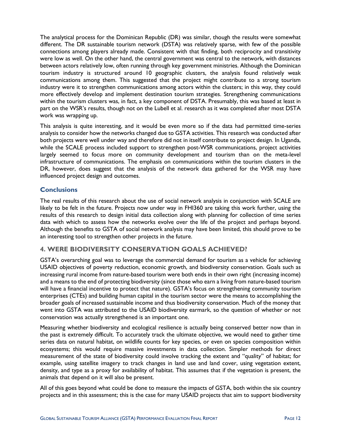The analytical process for the Dominican Republic (DR) was similar, though the results were somewhat different. The DR sustainable tourism network (DSTA) was relatively sparse, with few of the possible connections among players already made. Consistent with that finding, both reciprocity and transitivity were low as well. On the other hand, the central government was central to the network, with distances between actors relatively low, often running through key government ministries. Although the Dominican tourism industry is structured around 10 geographic clusters, the analysis found relatively weak communications among them. This suggested that the project might contribute to a strong tourism industry were it to strengthen communications among actors within the clusters; in this way, they could more effectively develop and implement destination tourism strategies. Strengthening communications within the tourism clusters was, in fact, a key component of DSTA. Presumably, this was based at least in part on the WSR's results, though not on the Lubell et al. research as it was completed after most DSTA work was wrapping up.

This analysis is quite interesting, and it would be even more so if the data had permitted time-series analysis to consider how the networks changed due to GSTA activities. This research was conducted after both projects were well under way and therefore did not in itself contribute to project design. In Uganda, while the SCALE process included support to strengthen post-WSR communications, project activities largely seemed to focus more on community development and tourism than on the meta-level infrastructure of communications. The emphasis on communications within the tourism clusters in the DR, however, does suggest that the analysis of the network data gathered for the WSR may have influenced project design and outcomes.

### <span id="page-17-0"></span>**Conclusions**

The real results of this research about the use of social network analysis in conjunction with SCALE are likely to be felt in the future. Projects now under way in FHI360 are taking this work further, using the results of this research to design initial data collection along with planning for collection of time series data with which to assess how the networks evolve over the life of the project and perhaps beyond. Although the benefits to GSTA of social network analysis may have been limited, this should prove to be an interesting tool to strengthen other projects in the future.

### <span id="page-17-1"></span>**4. WERE BIODIVERSITY CONSERVATION GOALS ACHIEVED?**

GSTA's overarching goal was to leverage the commercial demand for tourism as a vehicle for achieving USAID objectives of poverty reduction, economic growth, and biodiversity conservation. Goals such as increasing rural income from nature-based tourism were both ends in their own right (increasing income) and a means to the end of protecting biodiversity (since those who earn a living from nature-based tourism will have a financial incentive to protect that nature). GSTA's focus on strengthening community tourism enterprises (CTEs) and building human capital in the tourism sector were the means to accomplishing the broader goals of increased sustainable income and thus biodiversity conservation. Much of the money that went into GSTA was attributed to the USAID biodiversity earmark, so the question of whether or not conservation was actually strengthened is an important one.

Measuring whether biodiversity and ecological resilience is actually being conserved better now than in the past is extremely difficult. To accurately track the ultimate objective, we would need to gather time series data on natural habitat, on wildlife counts for key species, or even on species composition within ecosystems; this would require massive investments in data collection. Simpler methods for direct measurement of the state of biodiversity could involve tracking the extent and "quality" of habitat; for example, using satellite imagery to track changes in land use and land cover, using vegetation extent, density, and type as a proxy for availability of habitat. This assumes that if the vegetation is present, the animals that depend on it will also be present.

All of this goes beyond what could be done to measure the impacts of GSTA, both within the six country projects and in this assessment; this is the case for many USAID projects that aim to support biodiversity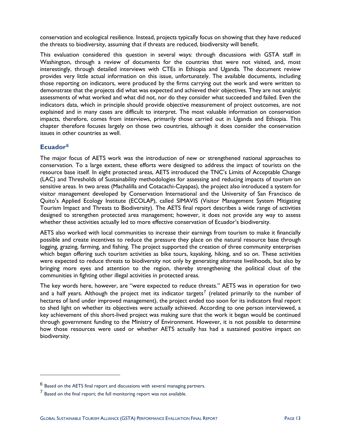conservation and ecological resilience. Instead, projects typically focus on showing that they have reduced the threats to biodiversity, assuming that if threats are reduced, biodiversity will benefit.

This evaluation considered this question in several ways: through discussions with GSTA staff in Washington, through a review of documents for the countries that were not visited, and, most interestingly, through detailed interviews with CTEs in Ethiopia and Uganda. The document review provides very little actual information on this issue, unfortunately. The available documents, including those reporting on indicators, were produced by the firms carrying out the work and were written to demonstrate that the projects did what was expected and achieved their objectives. They are not analytic assessments of what worked and what did not, nor do they consider what succeeded and failed. Even the indicators data, which in principle should provide objective measurement of project outcomes, are not explained and in many cases are difficult to interpret. The most valuable information on conservation impacts, therefore, comes from interviews, primarily those carried out in Uganda and Ethiopia. This chapter therefore focuses largely on those two countries, although it does consider the conservation issues in other countries as well.

### <span id="page-18-0"></span>**Ecuador[6](#page-18-1)**

 $\overline{a}$ 

The major focus of AETS work was the introduction of new or strengthened national approaches to conservation. To a large extent, these efforts were designed to address the impact of tourists on the resource base itself. In eight protected areas, AETS introduced the TNC's Limits of Acceptable Change (LAC) and Thresholds of Sustainability methodologies for assessing and reducing impacts of tourism on sensitive areas. In two areas (Machalilla and Cotacachi-Cayapas), the project also introduced a system for visitor management developed by Conservation International and the University of San Francisco de Quito's Applied Ecology Institute (ECOLAP), called SIMAVIS (Visitor Management System Mitigating Tourism Impact and Threats to Biodiversity). The AETS final report describes a wide range of activities designed to strengthen protected area management; however, it does not provide any way to assess whether these activities actually led to more effective conservation of Ecuador's biodiversity.

AETS also worked with local communities to increase their earnings from tourism to make it financially possible and create incentives to reduce the pressure they place on the natural resource base through logging, grazing, farming, and fishing. The project supported the creation of three community enterprises which began offering such tourism activities as bike tours, kayaking, hiking, and so on. These activities were expected to reduce threats to biodiversity not only by generating alternate livelihoods, but also by bringing more eyes and attention to the region, thereby strengthening the political clout of the communities in fighting other illegal activities in protected areas.

The key words here, however, are "were expected to reduce threats." AETS was in operation for two and a half years. Although the project met its indicator targets<sup>[7](#page-18-2)</sup> (related primarily to the number of hectares of land under improved management), the project ended too soon for its indicators final report to shed light on whether its objectives were actually achieved. According to one person interviewed, a key achievement of this short-lived project was making sure that the work it began would be continued through government funding to the Ministry of Environment. However, it is not possible to determine how those resources were used or whether AETS actually has had a sustained positive impact on biodiversity.

<span id="page-18-1"></span><sup>6</sup> Based on the AETS final report and discussions with several managing partners.

<span id="page-18-2"></span><sup>7</sup> Based on the final report; the full monitoring report was not available.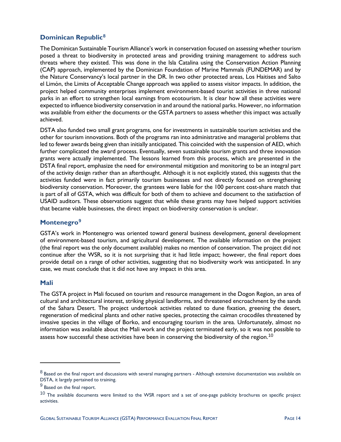### <span id="page-19-0"></span>**Dominican Republic[8](#page-19-3)**

The Dominican Sustainable Tourism Alliance's work in conservation focused on assessing whether tourism posed a threat to biodiversity in protected areas and providing training management to address such threats where they existed. This was done in the Isla Catalina using the Conservation Action Planning (CAP) approach, implemented by the Dominican Foundation of Marine Mammals (FUNDEMAR) and by the Nature Conservancy's local partner in the DR. In two other protected areas, Los Haitises and Salto el Limón, the Limits of Acceptable Change approach was applied to assess visitor impacts. In addition, the project helped community enterprises implement environment-based tourist activities in three national parks in an effort to strengthen local earnings from ecotourism. It is clear how all these activities were expected to influence biodiversity conservation in and around the national parks. However, no information was available from either the documents or the GSTA partners to assess whether this impact was actually achieved.

DSTA also funded two small grant programs, one for investments in sustainable tourism activities and the other for tourism innovations. Both of the programs ran into administrative and managerial problems that led to fewer awards being given than initially anticipated. This coincided with the suspension of AED, which further complicated the award process. Eventually, seven sustainable tourism grants and three innovation grants were actually implemented. The lessons learned from this process, which are presented in the DSTA final report, emphasize the need for environmental mitigation and monitoring to be an integral part of the activity design rather than an afterthought. Although it is not explicitly stated, this suggests that the activities funded were in fact primarily tourism businesses and not directly focused on strengthening biodiversity conservation. Moreover, the grantees were liable for the 100 percent cost-share match that is part of all of GSTA, which was difficult for both of them to achieve and document to the satisfaction of USAID auditors. These observations suggest that while these grants may have helped support activities that became viable businesses, the direct impact on biodiversity conservation is unclear.

### <span id="page-19-1"></span>**Montenegro[9](#page-19-4)**

GSTA's work in Montenegro was oriented toward general business development, general development of environment-based tourism, and agricultural development. The available information on the project (the final report was the only document available) makes no mention of conservation. The project did not continue after the WSR, so it is not surprising that it had little impact; however, the final report does provide detail on a range of other activities, suggesting that no biodiversity work was anticipated. In any case, we must conclude that it did not have any impact in this area.

### <span id="page-19-2"></span>**Mali**

 $\ddot{ }$ 

The GSTA project in Mali focused on tourism and resource management in the Dogon Region, an area of cultural and architectural interest, striking physical landforms, and threatened encroachment by the sands of the Sahara Desert. The project undertook activities related to dune fixation, greening the desert, regeneration of medicinal plants and other native species, protecting the caiman crocodiles threatened by invasive species in the village of Borko, and encouraging tourism in the area. Unfortunately, almost no information was available about the Mali work and the project terminated early, so it was not possible to assess how successful these activities have been in conserving the biodiversity of the region.<sup>[10](#page-19-5)</sup>

<span id="page-19-3"></span> $8$  Based on the final report and discussions with several managing partners - Although extensive documentation was available on DSTA, it largely pertained to training.

<span id="page-19-4"></span><sup>&</sup>lt;sup>9</sup> Based on the final report.

<span id="page-19-5"></span> $10$  The available documents were limited to the WSR report and a set of one-page publicity brochures on specific project activities.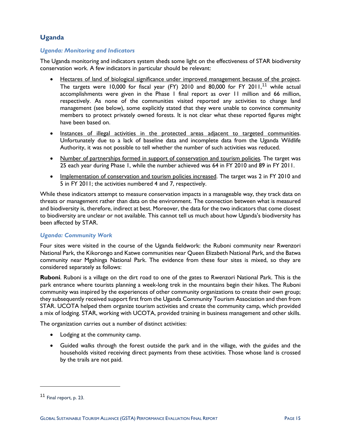### <span id="page-20-0"></span>**Uganda**

### *Uganda: Monitoring and Indicators*

The Uganda monitoring and indicators system sheds some light on the effectiveness of STAR biodiversity conservation work. A few indicators in particular should be relevant:

- Hectares of land of biological significance under improved management because of the project. The targets were 10,000 for fiscal year (FY) 2010 and 80,000 for FY 20[11](#page-20-1),<sup>11</sup> while actual accomplishments were given in the Phase 1 final report as over 11 million and 66 million, respectively. As none of the communities visited reported any activities to change land management (see below), some explicitly stated that they were unable to convince community members to protect privately owned forests. It is not clear what these reported figures might have been based on.
- Instances of illegal activities in the protected areas adjacent to targeted communities. Unfortunately due to a lack of baseline data and incomplete data from the Uganda Wildlife Authority, it was not possible to tell whether the number of such activities was reduced.
- Number of partnerships formed in support of conservation and tourism policies. The target was 25 each year during Phase 1, while the number achieved was 64 in FY 2010 and 89 in FY 2011.
- Implementation of conservation and tourism policies increased. The target was 2 in FY 2010 and 5 in FY 2011; the activities numbered 4 and 7, respectively.

While these indicators attempt to measure conservation impacts in a manageable way, they track data on threats or management rather than data on the environment. The connection between what is measured and biodiversity is, therefore, indirect at best. Moreover, the data for the two indicators that come closest to biodiversity are unclear or not available. This cannot tell us much about how Uganda's biodiversity has been affected by STAR.

### *Uganda: Community Work*

Four sites were visited in the course of the Uganda fieldwork: the Ruboni community near Rwenzori National Park, the Kikorongo and Katwe communities near Queen Elizabeth National Park, and the Batwa community near Mgahinga National Park. The evidence from these four sites is mixed, so they are considered separately as follows:

**Ruboni**. Ruboni is a village on the dirt road to one of the gates to Rwenzori National Park. This is the park entrance where tourists planning a week-long trek in the mountains begin their hikes. The Ruboni community was inspired by the experiences of other community organizations to create their own group; they subsequently received support first from the Uganda Community Tourism Association and then from STAR. UCOTA helped them organize tourism activities and create the community camp, which provided a mix of lodging. STAR, working with UCOTA, provided training in business management and other skills.

The organization carries out a number of distinct activities:

- Lodging at the community camp.
- Guided walks through the forest outside the park and in the village, with the guides and the households visited receiving direct payments from these activities. Those whose land is crossed by the trails are not paid.

 $\overline{a}$ 

<span id="page-20-1"></span><sup>11</sup> Final report, p. 23.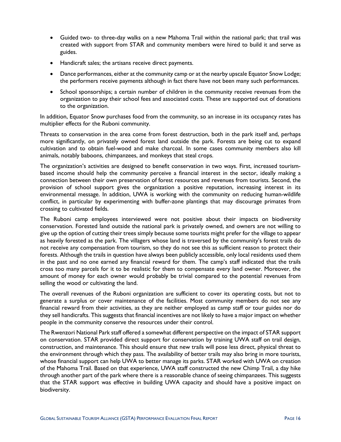- Guided two- to three-day walks on a new Mahoma Trail within the national park; that trail was created with support from STAR and community members were hired to build it and serve as guides.
- Handicraft sales; the artisans receive direct payments.
- Dance performances, either at the community camp or at the nearby upscale Equator Snow Lodge; the performers receive payments although in fact there have not been many such performances.
- School sponsorships; a certain number of children in the community receive revenues from the organization to pay their school fees and associated costs. These are supported out of donations to the organization.

In addition, Equator Snow purchases food from the community, so an increase in its occupancy rates has multiplier effects for the Ruboni community.

Threats to conservation in the area come from forest destruction, both in the park itself and, perhaps more significantly, on privately owned forest land outside the park. Forests are being cut to expand cultivation and to obtain fuel-wood and make charcoal. In some cases community members also kill animals, notably baboons, chimpanzees, and monkeys that steal crops.

The organization's activities are designed to benefit conservation in two ways. First, increased tourismbased income should help the community perceive a financial interest in the sector, ideally making a connection between their own preservation of forest resources and revenues from tourists. Second, the provision of school support gives the organization a positive reputation, increasing interest in its environmental message. In addition, UWA is working with the community on reducing human-wildlife conflict, in particular by experimenting with buffer-zone plantings that may discourage primates from crossing to cultivated fields.

The Ruboni camp employees interviewed were not positive about their impacts on biodiversity conservation. Forested land outside the national park is privately owned, and owners are not willing to give up the option of cutting their trees simply because some tourists might prefer for the village to appear as heavily forested as the park. The villagers whose land is traversed by the community's forest trails do not receive any compensation from tourism, so they do not see this as sufficient reason to protect their forests. Although the trails in question have always been publicly accessible, only local residents used them in the past and no one earned any financial reward for them. The camp's staff indicated that the trails cross too many parcels for it to be realistic for them to compensate every land owner. Moreover, the amount of money for each owner would probably be trivial compared to the potential revenues from selling the wood or cultivating the land.

The overall revenues of the Ruboni organization are sufficient to cover its operating costs, but not to generate a surplus or cover maintenance of the facilities. Most community members do not see any financial reward from their activities, as they are neither employed as camp staff or tour guides nor do they sell handicrafts. This suggests that financial incentives are not likely to have a major impact on whether people in the community conserve the resources under their control.

The Rwenzori National Park staff offered a somewhat different perspective on the impact of STAR support on conservation. STAR provided direct support for conservation by training UWA staff on trail design, construction, and maintenance. This should ensure that new trails will pose less direct, physical threat to the environment through which they pass. The availability of better trails may also bring in more tourists, whose financial support can help UWA to better manage its parks. STAR worked with UWA on creation of the Mahoma Trail. Based on that experience, UWA staff constructed the new Chimp Trail, a day hike through another part of the park where there is a reasonable chance of seeing chimpanzees. This suggests that the STAR support was effective in building UWA capacity and should have a positive impact on biodiversity.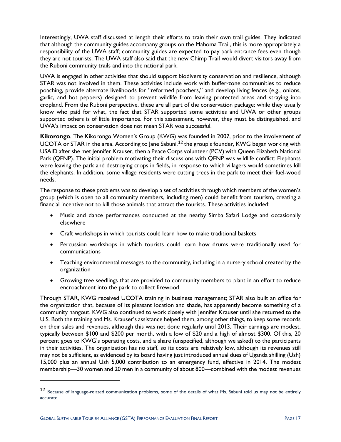Interestingly, UWA staff discussed at length their efforts to train their own trail guides. They indicated that although the community guides accompany groups on the Mahoma Trail, this is more appropriately a responsibility of the UWA staff; community guides are expected to pay park entrance fees even though they are not tourists. The UWA staff also said that the new Chimp Trail would divert visitors away from the Ruboni community trails and into the national park.

UWA is engaged in other activities that should support biodiversity conservation and resilience, although STAR was not involved in them. These activities include work with buffer-zone communities to reduce poaching, provide alternate livelihoods for "reformed poachers," and develop living fences (e.g., onions, garlic, and hot peppers) designed to prevent wildlife from leaving protected areas and straying into cropland. From the Ruboni perspective, these are all part of the conservation package; while they usually know who paid for what, the fact that STAR supported some activities and UWA or other groups supported others is of little importance. For this assessment, however, they must be distinguished, and UWA's impact on conservation does not mean STAR was successful.

**Kikorongo**. The Kikorongo Women's Group (KWG) was founded in 2007, prior to the involvement of UCOTA or STAR in the area. According to Jane Sabuni,<sup>[12](#page-22-0)</sup> the group's founder, KWG began working with USAID after she met Jennifer Krauser, then a Peace Corps volunteer (PCV) with Queen Elizabeth National Park (QENP). The initial problem motivating their discussions with QENP was wildlife conflict: Elephants were leaving the park and destroying crops in fields, in response to which villagers would sometimes kill the elephants. In addition, some village residents were cutting trees in the park to meet their fuel-wood needs.

The response to these problems was to develop a set of activities through which members of the women's group (which is open to all community members, including men) could benefit from tourism, creating a financial incentive not to kill those animals that attract the tourists. These activities included:

- Music and dance performances conducted at the nearby Simba Safari Lodge and occasionally elsewhere
- Craft workshops in which tourists could learn how to make traditional baskets
- Percussion workshops in which tourists could learn how drums were traditionally used for communications
- Teaching environmental messages to the community, including in a nursery school created by the organization
- Growing tree seedlings that are provided to community members to plant in an effort to reduce encroachment into the park to collect firewood

Through STAR, KWG received UCOTA training in business management; STAR also built an office for the organization that, because of its pleasant location and shade, has apparently become something of a community hangout. KWG also continued to work closely with Jennifer Krauser until she returned to the U.S. Both the training and Ms. Krauser's assistance helped them, among other things, to keep some records on their sales and revenues, although this was not done regularly until 2013. Their earnings are modest, typically between \$100 and \$200 per month, with a low of \$20 and a high of almost \$300. Of this, 20 percent goes to KWG's operating costs, and a share (unspecified, although we asked) to the participants in their activities. The organization has no staff, so its costs are relatively low, although its revenues still may not be sufficient, as evidenced by its board having just introduced annual dues of Uganda shilling (Ush) 15,000 plus an annual Ush 5,000 contribution to an emergency fund, effective in 2014. The modest membership—30 women and 20 men in a community of about 800—combined with the modest revenues

 $\overline{a}$ 

<span id="page-22-0"></span><sup>12</sup> Because of language-related communication problems, some of the details of what Ms. Sabuni told us may not be entirely accurate.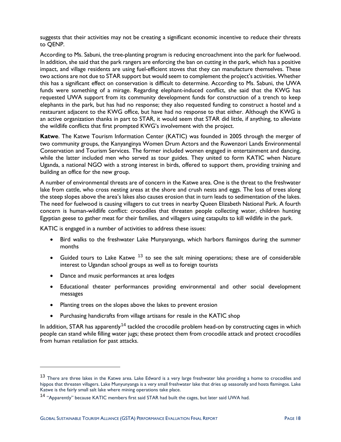suggests that their activities may not be creating a significant economic incentive to reduce their threats to QENP.

According to Ms. Sabuni, the tree-planting program is reducing encroachment into the park for fuelwood. In addition, she said that the park rangers are enforcing the ban on cutting in the park, which has a positive impact, and village residents are using fuel-efficient stoves that they can manufacture themselves. These two actions are not due to STAR support but would seem to complement the project's activities. Whether this has a significant effect on conservation is difficult to determine. According to Ms. Sabuni, the UWA funds were something of a mirage. Regarding elephant-induced conflict, she said that the KWG has requested UWA support from its community development funds for construction of a trench to keep elephants in the park, but has had no response; they also requested funding to construct a hostel and a restaurant adjacent to the KWG office, but have had no response to that either. Although the KWG is an active organization thanks in part to STAR, it would seem that STAR did little, if anything, to alleviate the wildlife conflicts that first prompted KWG's involvement with the project.

**Katwe**. The Katwe Tourism Information Center (KATIC) was founded in 2005 through the merger of two community groups, the Kanyanginya Women Drum Actors and the Ruwenzori Lands Environmental Conservation and Tourism Services. The former included women engaged in entertainment and dancing, while the latter included men who served as tour guides. They united to form KATIC when Nature Uganda, a national NGO with a strong interest in birds, offered to support them, providing training and building an office for the new group.

A number of environmental threats are of concern in the Katwe area. One is the threat to the freshwater lake from cattle, who cross nesting areas at the shore and crush nests and eggs. The loss of trees along the steep slopes above the area's lakes also causes erosion that in turn leads to sedimentation of the lakes. The need for fuelwood is causing villagers to cut trees in nearby Queen Elizabeth National Park. A fourth concern is human-wildlife conflict: crocodiles that threaten people collecting water, children hunting Egyptian geese to gather meat for their families, and villagers using catapults to kill wildlife in the park.

KATIC is engaged in a number of activities to address these issues:

- Bird walks to the freshwater Lake Munyanyanga, which harbors flamingos during the summer months
- Guided tours to Lake Katwe  $13$  to see the salt mining operations; these are of considerable interest to Ugandan school groups as well as to foreign tourists
- Dance and music performances at area lodges

 $\overline{a}$ 

- Educational theater performances providing environmental and other social development messages
- Planting trees on the slopes above the lakes to prevent erosion
- Purchasing handicrafts from village artisans for resale in the KATIC shop

In addition, STAR has apparently<sup>[14](#page-23-1)</sup> tackled the crocodile problem head-on by constructing cages in which people can stand while filling water jugs; these protect them from crocodile attack and protect crocodiles from human retaliation for past attacks.

<span id="page-23-0"></span><sup>&</sup>lt;sup>13</sup> There are three lakes in the Katwe area. Lake Edward is a very large freshwater lake providing a home to crocodiles and hippos that threaten villagers. Lake Munyunyanga is a very small freshwater lake that dries up seasonally and hosts flamingos. Lake Katwe is the fairly small salt lake where mining operations take place.

<span id="page-23-1"></span><sup>&</sup>lt;sup>14</sup> "Apparently" because KATIC members first said STAR had built the cages, but later said UWA had.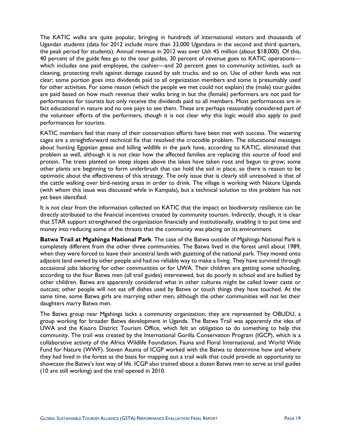The KATIC walks are quite popular, bringing in hundreds of international visitors and thousands of Ugandan students (data for 2012 include more than 33,000 Ugandans in the second and third quarters, the peak period for students). Annual revenue in 2012 was over Ush 45 million (about \$18,000). Of this, 40 percent of the guide fees go to the tour guides, 30 percent of revenue goes to KATIC operations which includes one paid employee, the cashier—and 20 percent goes to community activities, such as cleaning, protecting trails against damage caused by salt trucks, and so on. Use of other funds was not clear; some portion goes into dividends paid to all organization members and some is presumably used for other activities. For some reason (which the people we met could not explain) the (male) tour guides are paid based on how much revenue their walks bring in but the (female) performers are not paid for performances for tourists but only receive the dividends paid to all members. Most performances are in fact educational in nature and no one pays to see them. These are perhaps reasonably considered part of the volunteer efforts of the performers, though it is not clear why this logic would also apply to paid performances for tourists.

KATIC members feel that many of their conservation efforts have been met with success. The watering cages are a straightforward technical fix that resolved the crocodile problem. The educational messages about hunting Egyptian geese and killing wildlife in the park have, according to KATIC, eliminated that problem as well, although it is not clear how the affected families are replacing this source of food and protein. The trees planted on steep slopes above the lakes have taken root and begun to grow; some other plants are beginning to form underbrush that can hold the soil in place, so there is reason to be optimistic about the effectiveness of this strategy. The only issue that is clearly still unresolved is that of the cattle walking over bird-nesting areas in order to drink. The village is working with Nature Uganda (with whom this issue was discussed while in Kampala), but a technical solution to this problem has not yet been identified.

It is not clear from the information collected on KATIC that the impact on biodiversity resilience can be directly attributed to the financial incentives created by community tourism. Indirectly, though, it is clear that STAR support strengthened the organization financially and institutionally, enabling it to put time and money into reducing some of the threats that the community was placing on its environment.

**Batwa Trail at Mgahinga National Park**. The case of the Batwa outside of Mgahinga National Park is completely different from the other three communities. The Batwa lived in the forest until about 1989, when they were forced to leave their ancestral lands with gazetting of the national park. They moved onto adjacent land owned by other people and had no reliable way to make a living. They have survived through occasional jobs laboring for other communities or for UWA. Their children are getting some schooling, according to the four Batwa men (all trail guides) interviewed, but do poorly in school and are bullied by other children. Batwa are apparently considered what in other cultures might be called lower caste or outcast; other people will not eat off dishes used by Batwa or touch things they have touched. At the same time, some Batwa girls are marrying other men, although the other communities will not let their daughters marry Batwa men.

The Batwa group near Mgahinga lacks a community organization; they are represented by OBUDU, a group working for broader Batwa development in Uganda. The Batwa Trail was apparently the idea of UWA and the Kisoro District Tourism Office, which felt an obligation to do something to help this community. The trail was created by the International Gorilla Conservation Program (IGCP), which is a collaborative activity of the Africa Wildlife Foundation, Fauna and Floral International, and World Wide Fund for Nature (WWF). Steven Asuma of ICGP worked with the Batwa to determine how and where they had lived in the forest as the basis for mapping out a trail walk that could provide an opportunity to showcase the Batwa's lost way of life. ICGP also trained about a dozen Batwa men to serve as trail guides (10 are still working) and the trail opened in 2010.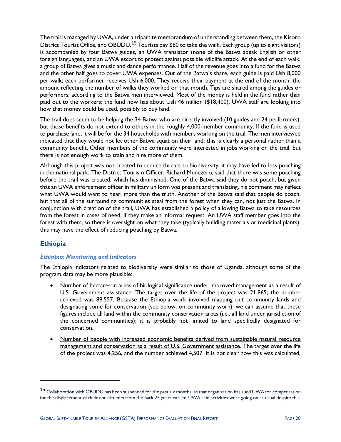The trail is managed by UWA, under a tripartite memorandum of understanding between them, the Kisoro District Tourist Office, and OBUDU.<sup>[15](#page-25-1)</sup> Tourists pay \$80 to take the walk. Each group (up to eight visitors) is accompanied by four Batwa guides, an UWA translator (none of the Batwa speak English or other foreign languages), and an UWA escort to protect against possible wildlife attack. At the end of each walk, a group of Batwa gives a music and dance performance. Half of the revenue goes into a fund for the Batwa and the other half goes to cover UWA expenses. Out of the Batwa's share, each guide is paid Ush 8,000 per walk; each performer receives Ush 6,000. They receive their payment at the end of the month, the amount reflecting the number of walks they worked on that month. Tips are shared among the guides or performers, according to the Batwa men interviewed. Most of the money is held in the fund rather than paid out to the workers; the fund now has about Ush 46 million (\$18,400). UWA staff are looking into how that money could be used, possibly to buy land.

The trail does seem to be helping the 34 Batwa who are directly involved (10 guides and 24 performers), but those benefits do not extend to others in the roughly 4,000-member community. If the fund is used to purchase land, it will be for the 34 households with members working on the trail. The men interviewed indicated that they would not let other Batwa squat on their land; this is clearly a personal rather than a community benefit. Other members of the community were interested in jobs working on the trail, but there is not enough work to train and hire more of them.

Although this project was not created to reduce threats to biodiversity, it may have led to less poaching in the national park. The District Tourism Officer, Richard Munezero, said that there was some poaching before the trail was created, which has diminished. One of the Batwa said they do not poach, but given that an UWA enforcement officer in military uniform was present and translating, his comment may reflect what UWA would want to hear, more than the truth. Another of the Batwa said that people do poach, but that all of the surrounding communities steal from the forest when they can, not just the Batwa. In conjunction with creation of the trail, UWA has established a policy of allowing Batwa to take resources from the forest in cases of need, if they make an informal request. An UWA staff member goes into the forest with them, so there is oversight on what they take (typically building materials or medicinal plants); this may have the effect of reducing poaching by Batwa.

### <span id="page-25-0"></span>**Ethiopia**

 $\overline{a}$ 

### *Ethiopia: Monitoring and Indicators*

The Ethiopia indicators related to biodiversity were similar to those of Uganda, although some of the program data may be more plausible:

- Number of hectares in areas of biological significance under improved management as a result of U.S. Government assistance. The target over the life of the project was 21,865; the number achieved was 89,557. Because the Ethiopia work involved mapping out community lands and designating some for conservation (see below, on community work), we can assume that these figures include all land within the community conservation areas (i.e., all land under jurisdiction of the concerned communities); it is probably not limited to land specifically designated for conservation.
- Number of people with increased economic benefits derived from sustainable natural resource management and conservation as a result of U.S. Government assistance. The target over the life of the project was 4,256, and the number achieved 4,507. It is not clear how this was calculated,

<span id="page-25-1"></span><sup>&</sup>lt;sup>15</sup> Collaboration with OBUDU has been suspended for the past six months, as that organization has sued UWA for compensation for the displacement of their constituents from the park 25 years earlier. UWA said activities were going on as usual despite this.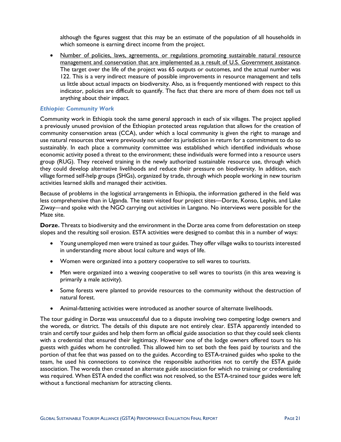although the figures suggest that this may be an estimate of the population of all households in which someone is earning direct income from the project.

• Number of policies, laws, agreements, or regulations promoting sustainable natural resource management and conservation that are implemented as a result of U.S. Government assistance. The target over the life of the project was 65 outputs or outcomes, and the actual number was 122. This is a very indirect measure of possible improvements in resource management and tells us little about actual impacts on biodiversity. Also, as is frequently mentioned with respect to this indicator, policies are difficult to quantify. The fact that there are more of them does not tell us anything about their impact.

#### *Ethiopia: Community Work*

Community work in Ethiopia took the same general approach in each of six villages. The project applied a previously unused provision of the Ethiopian protected areas regulation that allows for the creation of community conservation areas (CCA), under which a local community is given the right to manage and use natural resources that were previously not under its jurisdiction in return for a commitment to do so sustainably. In each place a community committee was established which identified individuals whose economic activity posed a threat to the environment; these individuals were formed into a resource users group (RUG). They received training in the newly authorized sustainable resource use, through which they could develop alternative livelihoods and reduce their pressure on biodiversity. In addition, each village formed self-help groups (SHGs), organized by trade, through which people working in new tourism activities learned skills and managed their activities.

Because of problems in the logistical arrangements in Ethiopia, the information gathered in the field was less comprehensive than in Uganda. The team visited four project sites—Dorze, Konso, Lephis, and Lake Ziway—and spoke with the NGO carrying out activities in Langano. No interviews were possible for the Maze site.

**Dorze.** Threats to biodiversity and the environment in the Dorze area come from deforestation on steep slopes and the resulting soil erosion. ESTA activities were designed to combat this in a number of ways:

- Young unemployed men were trained as tour guides. They offer village walks to tourists interested in understanding more about local culture and ways of life.
- Women were organized into a pottery cooperative to sell wares to tourists.
- Men were organized into a weaving cooperative to sell wares to tourists (in this area weaving is primarily a male activity).
- Some forests were planted to provide resources to the community without the destruction of natural forest.
- Animal-fattening activities were introduced as another source of alternate livelihoods.

The tour guiding in Dorze was unsuccessful due to a dispute involving two competing lodge owners and the woreda, or district. The details of this dispute are not entirely clear. ESTA apparently intended to train and certify tour guides and help them form an official guide association so that they could seek clients with a credential that ensured their legitimacy. However one of the lodge owners offered tours to his guests with guides whom he controlled. This allowed him to set both the fees paid by tourists and the portion of that fee that was passed on to the guides. According to ESTA-trained guides who spoke to the team, he used his connections to convince the responsible authorities not to certify the ESTA guide association. The woreda then created an alternate guide association for which no training or credentialing was required. When ESTA ended the conflict was not resolved, so the ESTA-trained tour guides were left without a functional mechanism for attracting clients.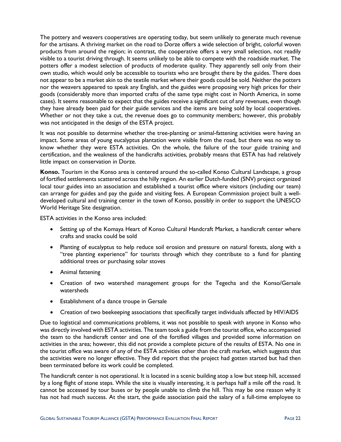The pottery and weavers cooperatives are operating today, but seem unlikely to generate much revenue for the artisans. A thriving market on the road to Dorze offers a wide selection of bright, colorful woven products from around the region; in contrast, the cooperative offers a very small selection, not readily visible to a tourist driving through. It seems unlikely to be able to compete with the roadside market. The potters offer a modest selection of products of moderate quality. They apparently sell only from their own studio, which would only be accessible to tourists who are brought there by the guides. There does not appear to be a market akin to the textile market where their goods could be sold. Neither the potters nor the weavers appeared to speak any English, and the guides were proposing very high prices for their goods (considerably more than imported crafts of the same type might cost in North America, in some cases). It seems reasonable to expect that the guides receive a significant cut of any revenues, even though they have already been paid for their guide services and the items are being sold by local cooperatives. Whether or not they take a cut, the revenue does go to community members; however, this probably was not anticipated in the design of the ESTA project.

It was not possible to determine whether the tree-planting or animal-fattening activities were having an impact. Some areas of young eucalyptus plantation were visible from the road, but there was no way to know whether they were ESTA activities. On the whole, the failure of the tour guide training and certification, and the weakness of the handicrafts activities, probably means that ESTA has had relatively little impact on conservation in Dorze.

**Konso.** Tourism in the Konso area is centered around the so-called Konso Cultural Landscape, a group of fortified settlements scattered across the hilly region. An earlier Dutch-funded (SNV) project organized local tour guides into an association and established a tourist office where visitors (including our team) can arrange for guides and pay the guide and visiting fees. A European Commission project built a welldeveloped cultural and training center in the town of Konso, possibly in order to support the UNESCO World Heritage Site designation.

ESTA activities in the Konso area included:

- Setting up of the Komaya Heart of Konso Cultural Handcraft Market, a handicraft center where crafts and snacks could be sold
- Planting of eucalyptus to help reduce soil erosion and pressure on natural forests, along with a "tree planting experience" for tourists through which they contribute to a fund for planting additional trees or purchasing solar stoves
- Animal fattening
- Creation of two watershed management groups for the Tegecha and the Konso/Gersale watersheds
- Establishment of a dance troupe in Gersale
- Creation of two beekeeping associations that specifically target individuals affected by HIV/AIDS

Due to logistical and communications problems, it was not possible to speak with anyone in Konso who was directly involved with ESTA activities. The team took a guide from the tourist office, who accompanied the team to the handicraft center and one of the fortified villages and provided some information on activities in the area; however, this did not provide a complete picture of the results of ESTA. No one in the tourist office was aware of any of the ESTA activities other than the craft market, which suggests that the activities were no longer effective. They did report that the project had gotten started but had then been terminated before its work could be completed.

The handicraft center is not operational. It is located in a scenic building atop a low but steep hill, accessed by a long flight of stone steps. While the site is visually interesting, it is perhaps half a mile off the road. It cannot be accessed by tour buses or by people unable to climb the hill. This may be one reason why it has not had much success. At the start, the guide association paid the salary of a full-time employee to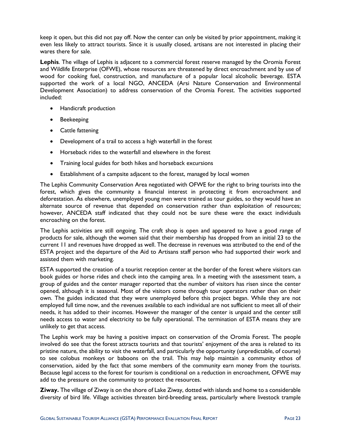keep it open, but this did not pay off. Now the center can only be visited by prior appointment, making it even less likely to attract tourists. Since it is usually closed, artisans are not interested in placing their wares there for sale.

**Lephis**. The village of Lephis is adjacent to a commercial forest reserve managed by the Oromia Forest and Wildlife Enterprise (OFWE), whose resources are threatened by direct encroachment and by use of wood for cooking fuel, construction, and manufacture of a popular local alcoholic beverage. ESTA supported the work of a local NGO, ANCEDA (Arsi Nature Conservation and Environmental Development Association) to address conservation of the Oromia Forest. The activities supported included:

- Handicraft production
- Beekeeping
- Cattle fattening
- Development of a trail to access a high waterfall in the forest
- Horseback rides to the waterfall and elsewhere in the forest
- Training local guides for both hikes and horseback excursions
- Establishment of a campsite adjacent to the forest, managed by local women

The Lephis Community Conservation Area negotiated with OFWE for the right to bring tourists into the forest, which gives the community a financial interest in protecting it from encroachment and deforestation. As elsewhere, unemployed young men were trained as tour guides, so they would have an alternate source of revenue that depended on conservation rather than exploitation of resources; however, ANCEDA staff indicated that they could not be sure these were the exact individuals encroaching on the forest.

The Lephis activities are still ongoing. The craft shop is open and appeared to have a good range of products for sale, although the women said that their membership has dropped from an initial 23 to the current 11 and revenues have dropped as well. The decrease in revenues was attributed to the end of the ESTA project and the departure of the Aid to Artisans staff person who had supported their work and assisted them with marketing.

ESTA supported the creation of a tourist reception center at the border of the forest where visitors can book guides or horse rides and check into the camping area. In a meeting with the assessment team, a group of guides and the center manager reported that the number of visitors has risen since the center opened, although it is seasonal. Most of the visitors come through tour operators rather than on their own. The guides indicated that they were unemployed before this project began. While they are not employed full time now, and the revenues available to each individual are not sufficient to meet all of their needs, it has added to their incomes. However the manager of the center is unpaid and the center still needs access to water and electricity to be fully operational. The termination of ESTA means they are unlikely to get that access.

The Lephis work may be having a positive impact on conservation of the Oromia Forest. The people involved do see that the forest attracts tourists and that tourists' enjoyment of the area is related to its pristine nature, the ability to visit the waterfall, and particularly the opportunity (unpredictable, of course) to see colobus monkeys or baboons on the trail. This may help maintain a community ethos of conservation, aided by the fact that some members of the community earn money from the tourists. Because legal access to the forest for tourism is conditional on a reduction in encroachment, OFWE may add to the pressure on the community to protect the resources.

**Ziway.** The village of Ziway is on the shore of Lake Ziway, dotted with islands and home to a considerable diversity of bird life. Village activities threaten bird-breeding areas, particularly where livestock trample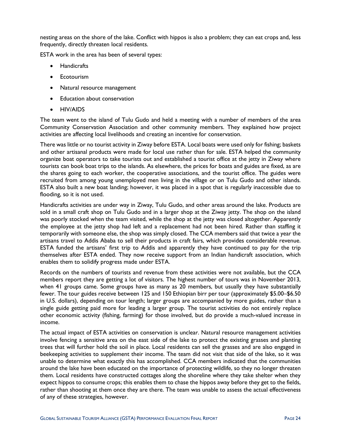nesting areas on the shore of the lake. Conflict with hippos is also a problem; they can eat crops and, less frequently, directly threaten local residents.

ESTA work in the area has been of several types:

- Handicrafts
- **Ecotourism**
- Natural resource management
- Education about conservation
- HIV/AIDS

The team went to the island of Tulu Gudo and held a meeting with a number of members of the area Community Conservation Association and other community members. They explained how project activities are affecting local livelihoods and creating an incentive for conservation.

There was little or no tourist activity in Ziway before ESTA. Local boats were used only for fishing; baskets and other artisanal products were made for local use rather than for sale. ESTA helped the community organize boat operators to take tourists out and established a tourist office at the jetty in Ziway where tourists can book boat trips to the islands. As elsewhere, the prices for boats and guides are fixed, as are the shares going to each worker, the cooperative associations, and the tourist office. The guides were recruited from among young unemployed men living in the village or on Tulu Gudo and other islands. ESTA also built a new boat landing; however, it was placed in a spot that is regularly inaccessible due to flooding, so it is not used.

Handicrafts activities are under way in Ziway, Tulu Gudo, and other areas around the lake. Products are sold in a small craft shop on Tulu Gudo and in a larger shop at the Ziway jetty. The shop on the island was poorly stocked when the team visited, while the shop at the jetty was closed altogether. Apparently the employee at the jetty shop had left and a replacement had not been hired. Rather than staffing it temporarily with someone else, the shop was simply closed. The CCA members said that twice a year the artisans travel to Addis Ababa to sell their products in craft fairs, which provides considerable revenue. ESTA funded the artisans' first trip to Addis and apparently they have continued to pay for the trip themselves after ESTA ended. They now receive support from an Indian handicraft association, which enables them to solidify progress made under ESTA.

Records on the numbers of tourists and revenue from these activities were not available, but the CCA members report they are getting a lot of visitors. The highest number of tours was in November 2013, when 41 groups came. Some groups have as many as 20 members, but usually they have substantially fewer. The tour guides receive between 125 and 150 Ethiopian birr per tour (approximately \$5.00–\$6.50 in U.S. dollars), depending on tour length; larger groups are accompanied by more guides, rather than a single guide getting paid more for leading a larger group. The tourist activities do not entirely replace other economic activity (fishing, farming) for those involved, but do provide a much-valued increase in income.

The actual impact of ESTA activities on conservation is unclear. Natural resource management activities involve fencing a sensitive area on the east side of the lake to protect the existing grasses and planting trees that will further hold the soil in place. Local residents can sell the grasses and are also engaged in beekeeping activities to supplement their income. The team did not visit that side of the lake, so it was unable to determine what exactly this has accomplished. CCA members indicated that the communities around the lake have been educated on the importance of protecting wildlife, so they no longer threaten them. Local residents have constructed cottages along the shoreline where they take shelter when they expect hippos to consume crops; this enables them to chase the hippos away before they get to the fields, rather than shooting at them once they are there. The team was unable to assess the actual effectiveness of any of these strategies, however.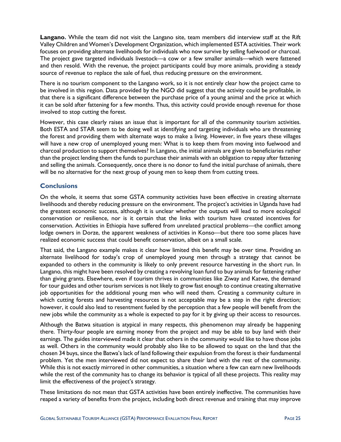**Langano.** While the team did not visit the Langano site, team members did interview staff at the Rift Valley Children and Women's Development Organization, which implemented ESTA activities. Their work focuses on providing alternate livelihoods for individuals who now survive by selling fuelwood or charcoal. The project gave targeted individuals livestock—a cow or a few smaller animals—which were fattened and then resold. With the revenue, the project participants could buy more animals, providing a steady source of revenue to replace the sale of fuel, thus reducing pressure on the environment.

There is no tourism component to the Langano work, so it is not entirely clear how the project came to be involved in this region. Data provided by the NGO did suggest that the activity could be profitable, in that there is a significant difference between the purchase price of a young animal and the price at which it can be sold after fattening for a few months. Thus, this activity could provide enough revenue for those involved to stop cutting the forest.

However, this case clearly raises an issue that is important for all of the community tourism activities. Both ESTA and STAR seem to be doing well at identifying and targeting individuals who are threatening the forest and providing them with alternate ways to make a living. However, in five years these villages will have a new crop of unemployed young men: What is to keep them from moving into fuelwood and charcoal production to support themselves? In Langano, the initial animals are given to beneficiaries rather than the project lending them the funds to purchase their animals with an obligation to repay after fattening and selling the animals. Consequently, once there is no donor to fund the initial purchase of animals, there will be no alternative for the next group of young men to keep them from cutting trees.

### <span id="page-30-0"></span>**Conclusions**

On the whole, it seems that some GSTA community activities have been effective in creating alternate livelihoods and thereby reducing pressure on the environment. The project's activities in Uganda have had the greatest economic success, although it is unclear whether the outputs will lead to more ecological conservation or resilience, nor is it certain that the links with tourism have created incentives for conservation. Activities in Ethiopia have suffered from unrelated practical problems—the conflict among lodge owners in Dorze, the apparent weakness of activities in Konso—but there too some places have realized economic success that could benefit conservation, albeit on a small scale.

That said, the Langano example makes it clear how limited this benefit may be over time. Providing an alternate livelihood for today's crop of unemployed young men through a strategy that cannot be expanded to others in the community is likely to only prevent resource harvesting in the short run. In Langano, this might have been resolved by creating a revolving loan fund to buy animals for fattening rather than giving grants. Elsewhere, even if tourism thrives in communities like Ziway and Katwe, the demand for tour guides and other tourism services is not likely to grow fast enough to continue creating alternative job opportunities for the additional young men who will need them. Creating a community culture in which cutting forests and harvesting resources is not acceptable may be a step in the right direction; however, it could also lead to resentment fueled by the perception that a few people will benefit from the new jobs while the community as a whole is expected to pay for it by giving up their access to resources.

Although the Batwa situation is atypical in many respects, this phenomenon may already be happening there. Thirty-four people are earning money from the project and may be able to buy land with their earnings. The guides interviewed made it clear that others in the community would like to have those jobs as well. Others in the community would probably also like to be allowed to squat on the land that the chosen 34 buys, since the Batwa's lack of land following their expulsion from the forest is their fundamental problem. Yet the men interviewed did not expect to share their land with the rest of the community. While this is not exactly mirrored in other communities, a situation where a few can earn new livelihoods while the rest of the community has to change its behavior is typical of all these projects. This reality may limit the effectiveness of the project's strategy.

These limitations do not mean that GSTA activities have been entirely ineffective. The communities have reaped a variety of benefits from the project, including both direct revenue and training that may improve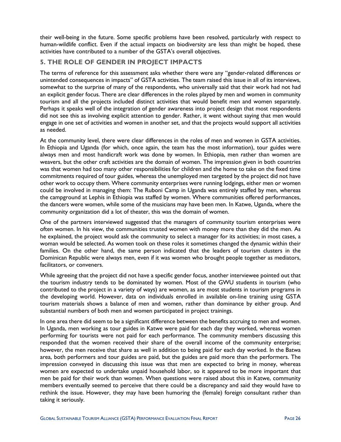their well-being in the future. Some specific problems have been resolved, particularly with respect to human-wildlife conflict. Even if the actual impacts on biodiversity are less than might be hoped, these activities have contributed to a number of the GSTA's overall objectives.

### <span id="page-31-0"></span>**5. THE ROLE OF GENDER IN PROJECT IMPACTS**

The terms of reference for this assessment asks whether there were any "gender-related differences or unintended consequences in impacts" of GSTA activities. The team raised this issue in all of its interviews, somewhat to the surprise of many of the respondents, who universally said that their work had not had an explicit gender focus. There are clear differences in the roles played by men and women in community tourism and all the projects included distinct activities that would benefit men and women separately. Perhaps it speaks well of the integration of gender awareness into project design that most respondents did not see this as involving explicit attention to gender. Rather, it went without saying that men would engage in one set of activities and women in another set, and that the projects would support all activities as needed.

At the community level, there were clear differences in the roles of men and women in GSTA activities. In Ethiopia and Uganda (for which, once again, the team has the most information), tour guides were always men and most handicraft work was done by women. In Ethiopia, men rather than women are weavers, but the other craft activities are the domain of women. The impression given in both countries was that women had too many other responsibilities for children and the home to take on the fixed time commitments required of tour guides, whereas the unemployed men targeted by the project did not have other work to occupy them. Where community enterprises were running lodgings, either men or women could be involved in managing them: The Ruboni Camp in Uganda was entirely staffed by men, whereas the campground at Lephis in Ethiopia was staffed by women. Where communities offered performances, the dancers were women, while some of the musicians may have been men. In Katwe, Uganda, where the community organization did a lot of theater, this was the domain of women.

One of the partners interviewed suggested that the managers of community tourism enterprises were often women. In his view, the communities trusted women with money more than they did the men. As he explained, the project would ask the community to select a manager for its activities; in most cases, a woman would be selected. As women took on these roles it sometimes changed the dynamic within their families. On the other hand, the same person indicated that the leaders of tourism clusters in the Dominican Republic were always men, even if it was women who brought people together as mediators, facilitators, or conveners.

While agreeing that the project did not have a specific gender focus, another interviewee pointed out that the tourism industry tends to be dominated by women. Most of the GWU students in tourism (who contributed to the project in a variety of ways) are women, as are most students in tourism programs in the developing world. However, data on individuals enrolled in available on-line training using GSTA tourism materials shows a balance of men and women, rather than dominance by either group. And substantial numbers of both men and women participated in project trainings.

In one area there did seem to be a significant difference between the benefits accruing to men and women. In Uganda, men working as tour guides in Katwe were paid for each day they worked, whereas women performing for tourists were not paid for each performance. The community members discussing this responded that the women received their share of the overall income of the community enterprise; however, the men receive that share as well in addition to being paid for each day worked. In the Batwa area, both performers and tour guides are paid, but the guides are paid more than the performers. The impression conveyed in discussing this issue was that men are expected to bring in money, whereas women are expected to undertake unpaid household labor, so it appeared to be more important that men be paid for their work than women. When questions were raised about this in Katwe, community members eventually seemed to perceive that there could be a discrepancy and said they would have to rethink the issue. However, they may have been humoring the (female) foreign consultant rather than taking it seriously.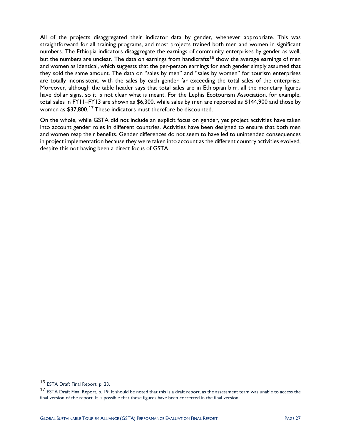All of the projects disaggregated their indicator data by gender, whenever appropriate. This was straightforward for all training programs, and most projects trained both men and women in significant numbers. The Ethiopia indicators disaggregate the earnings of community enterprises by gender as well, but the numbers are unclear. The data on earnings from handicrafts<sup>[16](#page-32-0)</sup> show the average earnings of men and women as identical, which suggests that the per-person earnings for each gender simply assumed that they sold the same amount. The data on "sales by men" and "sales by women" for tourism enterprises are totally inconsistent, with the sales by each gender far exceeding the total sales of the enterprise. Moreover, although the table header says that total sales are in Ethiopian birr, all the monetary figures have dollar signs, so it is not clear what is meant. For the Lephis Ecotourism Association, for example, total sales in FY11–FY13 are shown as \$6,300, while sales by men are reported as \$144,900 and those by women as \$37,800.<sup>[17](#page-32-1)</sup> These indicators must therefore be discounted.

On the whole, while GSTA did not include an explicit focus on gender, yet project activities have taken into account gender roles in different countries. Activities have been designed to ensure that both men and women reap their benefits. Gender differences do not seem to have led to unintended consequences in project implementation because they were taken into account as the different country activities evolved, despite this not having been a direct focus of GSTA.

 $\overline{a}$ 

<span id="page-32-0"></span><sup>16</sup> ESTA Draft Final Report, p. 23.

<span id="page-32-1"></span><sup>&</sup>lt;sup>17</sup> ESTA Draft Final Report, p. 19. It should be noted that this is a draft report, as the assessment team was unable to access the final version of the report. It is possible that these figures have been corrected in the final version.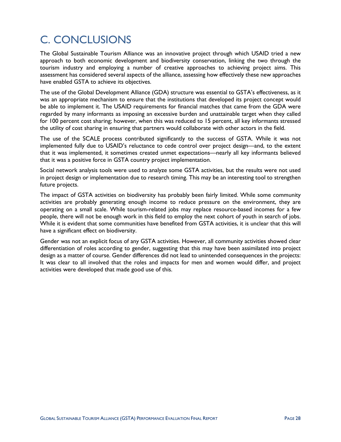## <span id="page-33-0"></span>C. CONCLUSIONS

The Global Sustainable Tourism Alliance was an innovative project through which USAID tried a new approach to both economic development and biodiversity conservation, linking the two through the tourism industry and employing a number of creative approaches to achieving project aims. This assessment has considered several aspects of the alliance, assessing how effectively these new approaches have enabled GSTA to achieve its objectives.

The use of the Global Development Alliance (GDA) structure was essential to GSTA's effectiveness, as it was an appropriate mechanism to ensure that the institutions that developed its project concept would be able to implement it. The USAID requirements for financial matches that came from the GDA were regarded by many informants as imposing an excessive burden and unattainable target when they called for 100 percent cost sharing; however, when this was reduced to 15 percent, all key informants stressed the utility of cost sharing in ensuring that partners would collaborate with other actors in the field.

The use of the SCALE process contributed significantly to the success of GSTA. While it was not implemented fully due to USAID's reluctance to cede control over project design—and, to the extent that it was implemented, it sometimes created unmet expectations—nearly all key informants believed that it was a positive force in GSTA country project implementation.

Social network analysis tools were used to analyze some GSTA activities, but the results were not used in project design or implementation due to research timing. This may be an interesting tool to strengthen future projects.

The impact of GSTA activities on biodiversity has probably been fairly limited. While some community activities are probably generating enough income to reduce pressure on the environment, they are operating on a small scale. While tourism-related jobs may replace resource-based incomes for a few people, there will not be enough work in this field to employ the next cohort of youth in search of jobs. While it is evident that some communities have benefited from GSTA activities, it is unclear that this will have a significant effect on biodiversity.

Gender was not an explicit focus of any GSTA activities. However, all community activities showed clear differentiation of roles according to gender, suggesting that this may have been assimilated into project design as a matter of course. Gender differences did not lead to unintended consequences in the projects: It was clear to all involved that the roles and impacts for men and women would differ, and project activities were developed that made good use of this.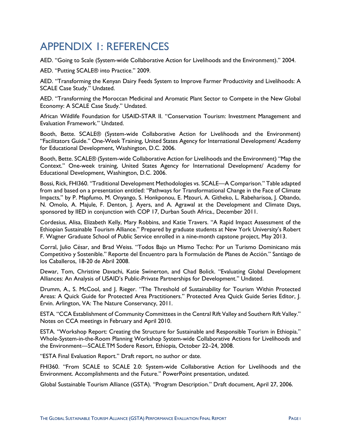### <span id="page-34-0"></span>APPENDIX 1: REFERENCES

AED. "Going to Scale (System-wide Collaborative Action for Livelihoods and the Environment)." 2004.

AED. "Putting SCALE® into Practice." 2009.

AED. "Transforming the Kenyan Dairy Feeds System to Improve Farmer Productivity and Livelihoods: A SCALE Case Study." Undated.

AED. "Transforming the Moroccan Medicinal and Aromatic Plant Sector to Compete in the New Global Economy: A SCALE Case Study." Undated.

African Wildlife Foundation for USAID-STAR II. "Conservation Tourism: Investment Management and Evaluation Framework." Undated.

Booth, Bette. SCALE® (System-wide Collaborative Action for Livelihoods and the Environment) "Facilitators Guide." One-Week Training, United States Agency for International Development/ Academy for Educational Development, Washington, D.C. 2006.

Booth, Bette. SCALE® (System-wide Collaborative Action for Livelihoods and the Environment) "Map the Context." One-week training, United States Agency for International Development/ Academy for Educational Development, Washington, D.C. 2006.

Bossi, Rick, FHI360. "Traditional Development Methodologies vs. SCALE—A Comparison." Table adapted from and based on a presentation entitled: "Pathways for Transformational Change in the Face of Climate Impacts," by P. Mapfumo, M. Onyango, S. Honkponou, E. Mzouri, A. Githeko, L. Rabeharisoa, J. Obando, N. Omolo, A. Majule, F. Denton, J. Ayers, and A. Agrawal at the Development and Climate Days, sponsored by IIED in conjunction with COP 17, Durban South Africa., December 2011.

Cordesius, Alisa, Elizabeth Kelly, Mary Robbins, and Katie Travers. "A Rapid Impact Assessment of the Ethiopian Sustainable Tourism Alliance." Prepared by graduate students at New York University's Robert F. Wagner Graduate School of Public Service enrolled in a nine-month capstone project, May 2013.

Corral, Julio César, and Brad Weiss. "Todos Bajo un Mismo Techo: Por un Turismo Dominicano más Competitivo y Sostenible." Reporte del Encuentro para la Formulación de Planes de Acción." Santiago de los Caballeros, 18-20 de Abril 2008.

Dewar, Tom, Christine Davachi, Katie Swinerton, and Chad Bolick. "Evaluating Global Development Alliances: An Analysis of USAID's Public-Private Partnerships for Development." Undated.

Drumm, A., S. McCool, and J. Rieger. "The Threshold of Sustainability for Tourism Within Protected Areas: A Quick Guide for Protected Area Practitioners." Protected Area Quick Guide Series Editor, J. Ervin. Arlington, VA: The Nature Conservancy, 2011.

ESTA. "CCA Establishment of Community Committees in the Central Rift Valley and Southern Rift Valley." Notes on CCA meetings in February and April 2010.

ESTA. "Workshop Report: Creating the Structure for Sustainable and Responsible Tourism in Ethiopia." Whole-System-in-the-Room Planning Workshop System-wide Collaborative Actions for Livelihoods and the Environment—SCALE.TM Sodere Resort, Ethiopia, October 22–24, 2008.

"ESTA Final Evaluation Report." Draft report, no author or date.

FHI360. "From SCALE to SCALE 2.0: System-wide Collaborative Action for Livelihoods and the Environment. Accomplishments and the Future." PowerPoint presentation, undated.

Global Sustainable Tourism Alliance (GSTA). "Program Description." Draft document, April 27, 2006.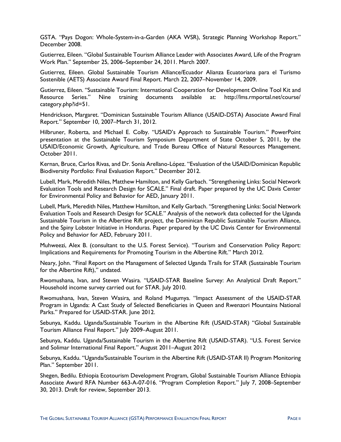GSTA. "Pays Dogon: Whole-System-in-a-Garden (AKA WSR), Strategic Planning Workshop Report." December 2008.

Gutierrez, Eileen. "Global Sustainable Tourism Alliance Leader with Associates Award, Life of the Program Work Plan." September 25, 2006–September 24, 2011. March 2007.

Gutierrez, Eileen. Global Sustainable Tourism Alliance/Ecuador Alianza Ecuatoriana para el Turismo Sostenible (AETS) Associate Award Final Report. March 22, 2007–November 14, 2009.

Gutierrez, Eileen. "Sustainable Tourism: International Cooperation for Development Online Tool Kit and Resource Series." Nine training documents available at: http://lms.rmportal.net/course/ category.php?id=51.

Hendrickson, Margaret. "Dominican Sustainable Tourism Alliance (USAID-DSTA) Associate Award Final Report." September 10, 2007–March 31, 2012.

Hilbruner, Roberta, and Michael E. Colby. "USAID's Approach to Sustainable Tourism." PowerPoint presentation at the Sustainable Tourism Symposium Department of State October 5, 2011, by the USAID/Economic Growth, Agriculture, and Trade Bureau Office of Natural Resources Management. October 2011.

Kernan, Bruce, Carlos Rivas, and Dr. Sonia Arellano-López. "Evaluation of the USAID/Dominican Republic Biodiversity Portfolio: Final Evaluation Report." December 2012.

Lubell, Mark, Meredith Niles, Matthew Hamilton, and Kelly Garbach. "Strengthening Links: Social Network Evaluation Tools and Research Design for SCALE." Final draft. Paper prepared by the UC Davis Center for Environmental Policy and Behavior for AED, January 2011.

Lubell, Mark, Meredith Niles, Matthew Hamilton, and Kelly Garbach. "Strengthening Links: Social Network Evaluation Tools and Research Design for SCALE." Analysis of the network data collected for the Uganda Sustainable Tourism in the Albertine Rift project, the Dominican Republic Sustainable Tourism Alliance, and the Spiny Lobster Initiative in Honduras. Paper prepared by the UC Davis Center for Environmental Policy and Behavior for AED, February 2011.

Muhweezi, Alex B. (consultant to the U.S. Forest Service). "Tourism and Conservation Policy Report: Implications and Requirements for Promoting Tourism in the Albertine Rift." March 2012.

Neary, John. "Final Report on the Management of Selected Uganda Trails for STAR (Sustainable Tourism for the Albertine Rift)," undated.

Rwomushana, Ivan, and Steven Wasira. "USAID-STAR Baseline Survey: An Analytical Draft Report." Household income survey carried out for STAR. July 2010.

Rwomushana, Ivan, Steven Wasira, and Roland Mugumya. "Impact Assessment of the USAID-STAR Program in Uganda: A Cast Study of Selected Beneficiaries in Queen and Rwenzori Mountains National Parks." Prepared for USAID-STAR. June 2012.

Sebunya, Kaddu. Uganda/Sustainable Tourism in the Albertine Rift (USAID-STAR) "Global Sustainable Tourism Alliance Final Report." July 2009–August 2011.

Sebunya, Kaddu. Uganda/Sustainable Tourism in the Albertine Rift (USAID-STAR). "U.S. Forest Service and Solimar International Final Report." August 2011–August 2012

Sebunya, Kaddu. "Uganda/Sustainable Tourism in the Albertine Rift (USAID-STAR II) Program Monitoring Plan." September 2011.

Shegen, Bedilu. Ethiopia Ecotourism Development Program, Global Sustainable Tourism Alliance Ethiopia Associate Award RFA Number 663-A-07-016. "Program Completion Report." July 7, 2008–September 30, 2013. Draft for review, September 2013.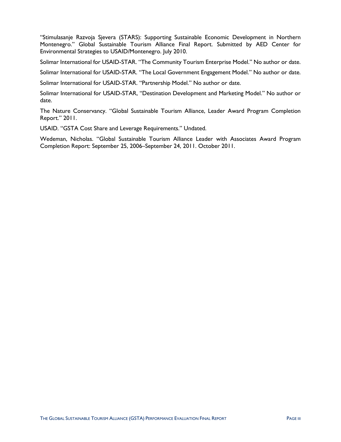"Stimulasanje Razvoja Sjevera (STARS): Supporting Sustainable Economic Development in Northern Montenegro." Global Sustainable Tourism Alliance Final Report. Submitted by AED Center for Environmental Strategies to USAID/Montenegro. July 2010.

Solimar International for USAID-STAR. "The Community Tourism Enterprise Model." No author or date.

Solimar International for USAID-STAR. "The Local Government Engagement Model." No author or date.

Solimar International for USAID-STAR. "Partnership Model." No author or date.

Solimar International for USAID-STAR, "Destination Development and Marketing Model." No author or date.

The Nature Conservancy. "Global Sustainable Tourism Alliance, Leader Award Program Completion Report." 2011.

USAID. "GSTA Cost Share and Leverage Requirements." Undated.

Wedeman, Nicholas. "Global Sustainable Tourism Alliance Leader with Associates Award Program Completion Report: September 25, 2006–September 24, 2011. October 2011.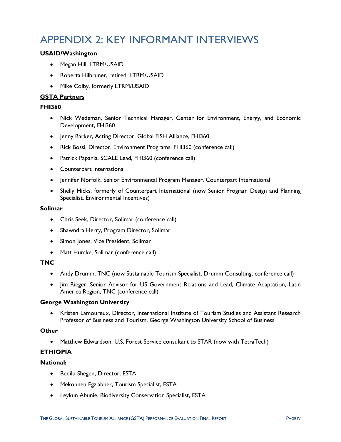### <span id="page-37-0"></span>APPENDIX 2: KEY INFORMANT INTERVIEWS

### **USAID/Washington**

- Megan Hill, LTRM/USAID
- Roberta Hilbruner, retired, LTRM/USAID
- Mike Colby, formerly LTRM/USAID

### **GSTA Partners**

### **FHI360**

- Nick Wedeman, Senior Technical Manager, Center for Environment, Energy, and Economic Development, FHI360
- Jenny Barker, Acting Director, Global FISH Alliance, FHI360
- Rick Bossi, Director, Environment Programs, FHI360 (conference call)
- Patrick Papania, SCALE Lead, FHI360 (conference call)
- Counterpart International
- Jennifer Norfolk, Senior Environmental Program Manager, Counterpart International
- Shelly Hicks, formerly of Counterpart International (now Senior Program Design and Planning Specialist, Environmental Incentives)

#### **Solimar**

- Chris Seek, Director, Solimar (conference call)
- Shawndra Herry, Program Director, Solimar
- Simon Jones, Vice President, Solimar
- Matt Humke, Solimar (conference call)

### **TNC**

- Andy Drumm, TNC (now Sustainable Tourism Specialist, Drumm Consulting; conference call)
- Jim Rieger, Senior Advisor for US Government Relations and Lead, Climate Adaptation, Latin America Region, TNC (conference call)

### **George Washington University**

• Kristen Lamoureux, Director, International Institute of Tourism Studies and Assistant Research Professor of Business and Tourism, George Washington University School of Business

### **Other**

• Matthew Edwardson, U.S. Forest Service consultant to STAR (now with TetraTech)

### **ETHIOPIA**

### **National:**

- Bedilu Shegen, Director, ESTA
- Mekonnen Egziabher, Tourism Specialist, ESTA
- Leykun Abunie, Biodiversity Conservation Specialist, ESTA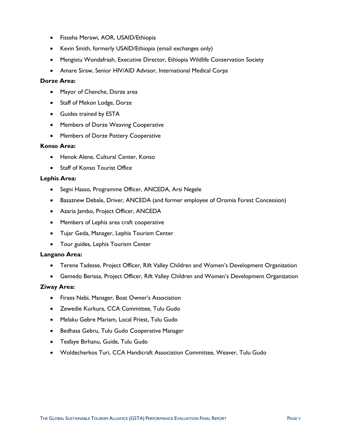- Fisseha Merawi, AOR, USAID/Ethiopia
- Kevin Smith, formerly USAID/Ethiopia (email exchanges only)
- Mengistu Wondafrash, Executive Director, Ethiopia Wildlife Conservation Society
- Amare Siraw, Senior HIV/AID Advisor, International Medical Corps

#### **Dorze Area:**

- Mayor of Chenche, Dorze area
- Staff of Mekon Lodge, Dorze
- Guides trained by ESTA
- Members of Dorze Weaving Cooperative
- Members of Dorze Pottery Cooperative

#### **Konso Area:**

- Henok Alene, Cultural Center, Konso
- Staff of Konso Tourist Office

### **Lephis Area:**

- Segni Hasso, Programme Officer, ANCEDA, Arsi Negele
- Basaznew Debale, Driver, ANCEDA (and former employee of Oromia Forest Concession)
- Azaria Jambo, Project Officer, ANCEDA
- Members of Lephis area craft cooperative
- Tujar Geda, Manager, Lephis Tourism Center
- Tour guides, Lephis Tourism Center

### **Langano Area:**

- Terene Tadesse, Project Officer, Rift Valley Children and Women's Development Organization
- Gemedo Berissa, Project Officer, Rift Valley Children and Women's Development Organization

### **Ziway Area:**

- Firaes Nebi, Manager, Boat Owner's Association
- Zewedie Kurkura, CCA Committee, Tulu Gudo
- Melaku Gebre Mariam, Local Priest, Tulu Gudo
- Bedhasa Gebru, Tulu Gudo Cooperative Manager
- Tesfaye Birhanu, Guide, Tulu Gudo
- Woldecherkos Turi, CCA Handicraft Association Committee, Weaver, Tulu Gudo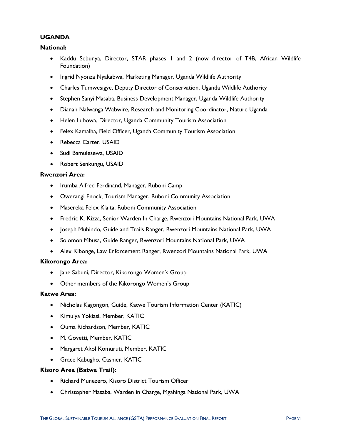### **UGANDA**

### **National:**

- Kaddu Sebunya, Director, STAR phases 1 and 2 (now director of T4B, African Wildlife Foundation)
- Ingrid Nyonza Nyakabwa, Marketing Manager, Uganda Wildlife Authority
- Charles Tumwesigye, Deputy Director of Conservation, Uganda Wildlife Authority
- Stephen Sanyi Masaba, Business Development Manager, Uganda Wildlife Authority
- Dianah Nalwanga Wabwire, Research and Monitoring Coordinator, Nature Uganda
- Helen Lubowa, Director, Uganda Community Tourism Association
- Felex Kamalha, Field Officer, Uganda Community Tourism Association
- Rebecca Carter, USAID
- Sudi Bamulesewa, USAID
- Robert Senkungu, USAID

#### **Rwenzori Area:**

- Irumba Alfred Ferdinand, Manager, Ruboni Camp
- Owerangi Enock, Tourism Manager, Ruboni Community Association
- Masereka Felex Klaita, Ruboni Community Association
- Fredric K. Kizza, Senior Warden In Charge, Rwenzori Mountains National Park, UWA
- Joseph Muhindo, Guide and Trails Ranger, Rwenzori Mountains National Park, UWA
- Solomon Mbusa, Guide Ranger, Rwenzori Mountains National Park, UWA
- Alex Kibonge, Law Enforcement Ranger, Rwenzori Mountains National Park, UWA

### **Kikorongo Area:**

- Jane Sabuni, Director, Kikorongo Women's Group
- Other members of the Kikorongo Women's Group

#### **Katwe Area:**

- Nicholas Kagongon, Guide, Katwe Tourism Information Center (KATIC)
- Kimulya Yokiasi, Member, KATIC
- Ouma Richardson, Member, KATIC
- M. Govetti, Member, KATIC
- Margaret Akol Komuruti, Member, KATIC
- Grace Kabugho, Cashier, KATIC

### **Kisoro Area (Batwa Trail):**

- Richard Munezero, Kisoro District Tourism Officer
- Christopher Masaba, Warden in Charge, Mgahinga National Park, UWA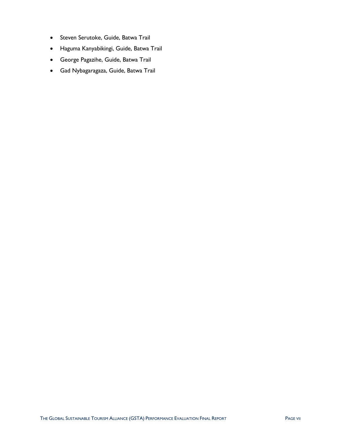- Steven Serutoke, Guide, Batwa Trail
- Haguma Kanyabikingi, Guide, Batwa Trail
- George Pagazihe, Guide, Batwa Trail
- Gad Nybagaragaza, Guide, Batwa Trail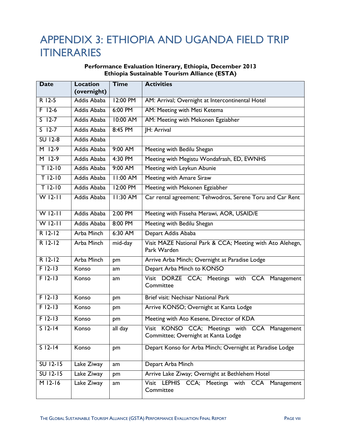### <span id="page-41-0"></span>APPENDIX 3: ETHIOPIA AND UGANDA FIELD TRIP ITINERARIES

### **Performance Evaluation Itinerary, Ethiopia, December 2013 Ethiopia Sustainable Tourism Alliance (ESTA)**

| <b>Date</b>          | <b>Location</b>   | <b>Time</b>     | <b>Activities</b>                                                                    |
|----------------------|-------------------|-----------------|--------------------------------------------------------------------------------------|
|                      | (overnight)       |                 |                                                                                      |
| R 12-5               | Addis Ababa       | 12:00 PM        | AM: Arrival; Overnight at Intercontinental Hotel                                     |
| $F$ 12-6             | Addis Ababa       | 6:00 PM         | AM: Meeting with Meti Ketema                                                         |
| $S$ 12-7             | Addis Ababa       | 10:00 AM        | AM: Meeting with Mekonen Egziabher                                                   |
| $S$ 12-7             | Addis Ababa       | 8:45 PM         | <b>IH: Arrival</b>                                                                   |
| <b>SU 12-8</b>       | Addis Ababa       |                 |                                                                                      |
| $M$ 12-9             | Addis Ababa       | 9:00 AM         | Meeting with Bedilu Shegan                                                           |
| $M$ 12-9             | Addis Ababa       | 4:30 PM         | Meeting with Megistu Wondafrash, ED, EWNHS                                           |
| $T$ 12-10            | Addis Ababa       | 9:00 AM         | Meeting with Leykun Abunie                                                           |
| $T$ 12-10            | Addis Ababa       | <b>II:00 AM</b> | Meeting with Amare Siraw                                                             |
| $T$ 12-10            | Addis Ababa       | 12:00 PM        | Meeting with Mekonen Egziabher                                                       |
| $\overline{W}$ 12-11 | Addis Ababa       | 11:30 AM        | Car rental agreement: Tehwodros, Serene Toru and Car Rent                            |
| $W12-11$             | Addis Ababa       | 2:00 PM         | Meeting with Fisseha Merawi, AOR, USAID/E                                            |
| $\overline{W}$ 12-11 | Addis Ababa       | 8:00 PM         | Meeting with Bedilu Shegan                                                           |
| $R$ 12-12            | Arba Minch        | 6:30 AM         | Depart Addis Ababa                                                                   |
| $R$ 12-12            | <b>Arba Minch</b> | mid-day         | Visit MAZE National Park & CCA; Meeting with Ato Alehegn,<br>Park Warden             |
| $R$ 12-12            | <b>Arba Minch</b> | pm              | Arrive Arba Minch; Overnight at Paradise Lodge                                       |
| $F$ 12-13            | Konso             | am              | Depart Arba Minch to KONSO                                                           |
| $F12-13$             | Konso             | am              | Visit DORZE CCA; Meetings with CCA Management<br>Committee                           |
| $F$ 12-13            | Konso             | pm              | Brief visit: Nechisar National Park                                                  |
| $F$ 12-13            | Konso             | pm              | Arrive KONSO; Overnight at Kanta Lodge                                               |
| $F$   2-  3          | Konso             | pm              | Meeting with Ato Kesene, Director of KDA                                             |
| $S$ 12-14            | Konso             | all day         | Visit KONSO CCA; Meetings with CCA Management<br>Committee; Overnight at Kanta Lodge |
| $S$ 12-14            | Konso             | pm              | Depart Konso for Arba Minch; Overnight at Paradise Lodge                             |
| $SU$ 12-15           | Lake Ziway        | am              | Depart Arba Minch                                                                    |
| $SU$ 12-15           | Lake Ziway        | pm              | Arrive Lake Ziway; Overnight at Bethlehem Hotel                                      |
| $M$ 12-16            | Lake Ziway        | am              | Visit LEPHIS CCA; Meetings with CCA Management<br>Committee                          |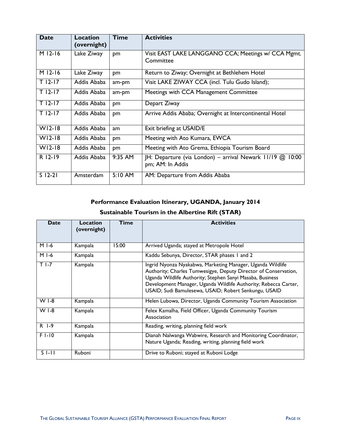| <b>Date</b>          | Location<br>(overnight) | <b>Time</b> | <b>Activities</b>                                                                |
|----------------------|-------------------------|-------------|----------------------------------------------------------------------------------|
| $M12-16$             | Lake Ziway              | pm          | Visit EAST LAKE LANGGANO CCA; Meetings w/ CCA Mgmt.<br>Committee                 |
| $\overline{M}$ 12-16 | Lake Ziway              | pm          | Return to Ziway; Overnight at Bethlehem Hotel                                    |
| $T$ 12-17            | Addis Ababa             | am-pm       | Visit LAKE ZIWAY CCA (incl. Tulu Gudo Island);                                   |
| $T$ 12-17            | Addis Ababa             | am-pm       | Meetings with CCA Management Committee                                           |
| $T$ 12-17            | Addis Ababa             | pm          | Depart Ziway                                                                     |
| $T$ 12-17            | Addis Ababa             | pm          | Arrive Addis Ababa; Overnight at Intercontinental Hotel                          |
| $W12-18$             | Addis Ababa             | am          | Exit briefing at USAID/E                                                         |
| $W12-18$             | Addis Ababa             | pm          | Meeting with Ato Kumara, EWCA                                                    |
| $W12-18$             | Addis Ababa             | pm          | Meeting with Ato Grema, Ethiopia Tourism Board                                   |
| R 12-19              | Addis Ababa             | 9:35 AM     | JH: Departure (via London) - arrival Newark 11/19 @<br>10:00<br>pm; AM: In Addis |
| $S$ 12-21            | Amsterdam               | $5:10$ AM   | AM: Departure from Addis Ababa                                                   |

### **Performance Evaluation Itinerary, UGANDA, January 2014**

### **Sustainable Tourism in the Albertine Rift (STAR)**

| <b>Date</b> | Location<br>(overnight) | <b>Time</b> | <b>Activities</b>                                                                                                                                                                                                                                                                                                      |
|-------------|-------------------------|-------------|------------------------------------------------------------------------------------------------------------------------------------------------------------------------------------------------------------------------------------------------------------------------------------------------------------------------|
| M I-6       | Kampala                 | 15:00       | Arrived Uganda; stayed at Metropole Hotel                                                                                                                                                                                                                                                                              |
| M I-6       | Kampala                 |             | Kaddu Sebunya, Director, STAR phases 1 and 2                                                                                                                                                                                                                                                                           |
| $T$ I-7     | Kampala                 |             | Ingrid Nyonza Nyakabwa, Marketing Manager, Uganda Wildlife<br>Authority; Charles Tumwesigye, Deputy Director of Conservation,<br>Uganda Wildlife Authority; Stephen Sanyi Masaba, Business<br>Development Manager, Uganda Wildlife Authority; Rebecca Carter,<br>USAID; Sudi Bamulesewa, USAID; Robert Senkungu, USAID |
| $W I - 8$   | Kampala                 |             | Helen Lubowa, Director, Uganda Community Tourism Association                                                                                                                                                                                                                                                           |
| $W I - 8$   | Kampala                 |             | Felex Kamalha, Field Officer, Uganda Community Tourism<br>Association                                                                                                                                                                                                                                                  |
| R 1-9       | Kampala                 |             | Reading, writing, planning field work                                                                                                                                                                                                                                                                                  |
| $F1-10$     | Kampala                 |             | Dianah Nalwanga Wabwire, Research and Monitoring Coordinator,<br>Nature Uganda; Reading, writing, planning field work                                                                                                                                                                                                  |
| S I-II      | Ruboni                  |             | Drive to Ruboni; stayed at Ruboni Lodge                                                                                                                                                                                                                                                                                |